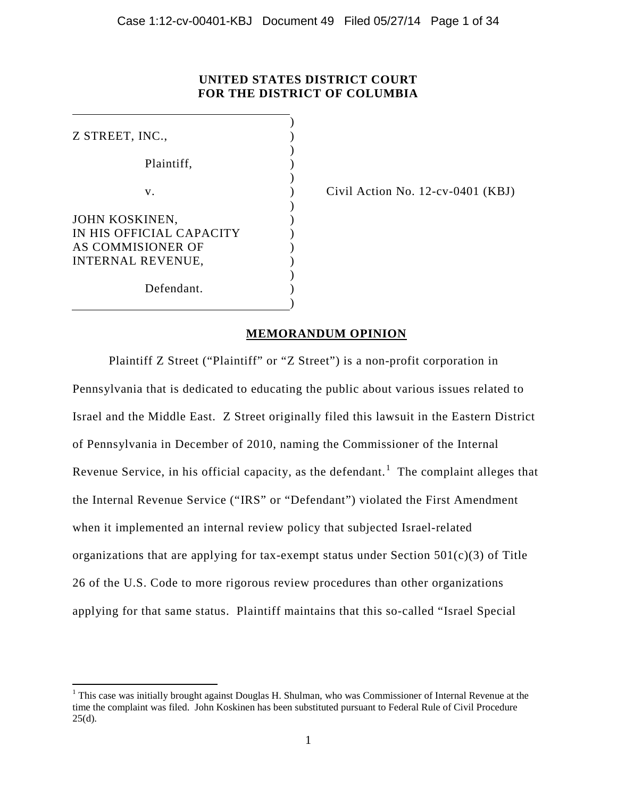## **UNITED STATES DISTRICT COURT FOR THE DISTRICT OF COLUMBIA**

| Z STREET, INC.,          |  |
|--------------------------|--|
|                          |  |
| Plaintiff.               |  |
|                          |  |
| V.                       |  |
|                          |  |
| JOHN KOSKINEN,           |  |
| IN HIS OFFICIAL CAPACITY |  |
| AS COMMISIONER OF        |  |
| <b>INTERNAL REVENUE,</b> |  |
|                          |  |
| Defendant.               |  |
|                          |  |

 $\overline{\phantom{a}}$ 

Civil Action No.  $12$ -cv-0401 (KBJ)

## **MEMORANDUM OPINION**

Plaintiff Z Street ("Plaintiff" or "Z Street") is a non-profit corporation in Pennsylvania that is dedicated to educating the public about various issues related to Israel and the Middle East. Z Street originally filed this lawsuit in the Eastern District of Pennsylvania in December of 2010, naming the Commissioner of the Internal Revenue Service, in his official capacity, as the defendant.<sup>1</sup> The complaint alleges that the Internal Revenue Service ("IRS" or "Defendant") violated the First Amendment when it implemented an internal review policy that subjected Israel-related organizations that are applying for tax-exempt status under Section  $501(c)(3)$  of Title 26 of the U.S. Code to more rigorous review procedures than other organizations applying for that same status. Plaintiff maintains that this so-called "Israel Special

<sup>&</sup>lt;sup>1</sup> This case was initially brought against Douglas H. Shulman, who was Commissioner of Internal Revenue at the time the complaint was filed. John Koskinen has been substituted pursuant to Federal Rule of Civil Procedure  $25(d)$ .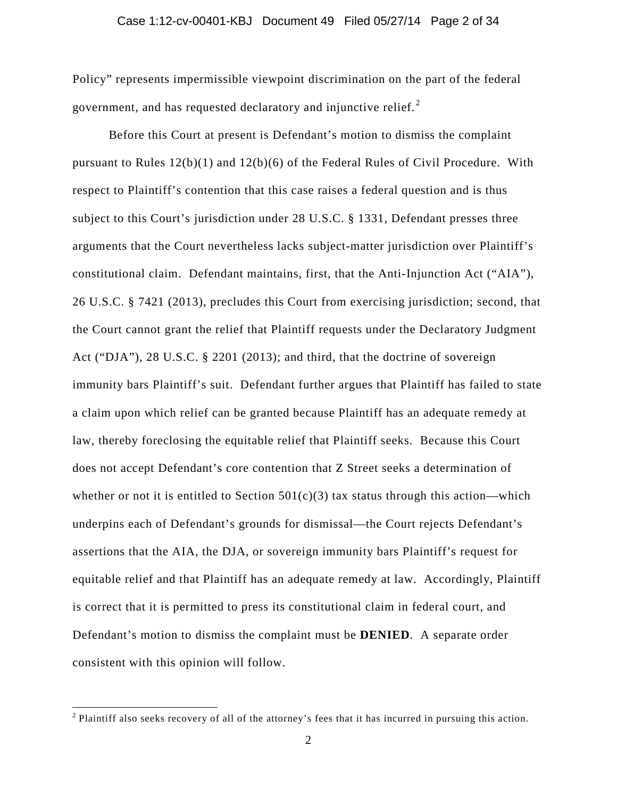#### Case 1:12-cv-00401-KBJ Document 49 Filed 05/27/14 Page 2 of 34

Policy" represents impermissible viewpoint discrimination on the part of the federal government, and has requested declaratory and injunctive relief. $^{2}$ 

Before this Court at present is Defendant's motion to dismiss the complaint pursuant to Rules 12(b)(1) and 12(b)(6) of the Federal Rules of Civil Procedure. With respect to Plaintiff's contention that this case raises a federal question and is thus subject to this Court's jurisdiction under 28 U.S.C. § 1331, Defendant presses three arguments that the Court nevertheless lacks subject-matter jurisdiction over Plaintiff's constitutional claim. Defendant maintains, first, that the Anti-Injunction Act ("AIA"), 26 U.S.C. § 7421 (2013), precludes this Court from exercising jurisdiction; second, that the Court cannot grant the relief that Plaintiff requests under the Declaratory Judgment Act ("DJA"), 28 U.S.C. § 2201 (2013); and third, that the doctrine of sovereign immunity bars Plaintiff's suit. Defendant further argues that Plaintiff has failed to state a claim upon which relief can be granted because Plaintiff has an adequate remedy at law, thereby foreclosing the equitable relief that Plaintiff seeks. Because this Court does not accept Defendant's core contention that Z Street seeks a determination of whether or not it is entitled to Section  $501(c)(3)$  tax status through this action—which underpins each of Defendant's grounds for dismissal—the Court rejects Defendant's assertions that the AIA, the DJA, or sovereign immunity bars Plaintiff's request for equitable relief and that Plaintiff has an adequate remedy at law. Accordingly, Plaintiff is correct that it is permitted to press its constitutional claim in federal court, and Defendant's motion to dismiss the complaint must be **DENIED**. A separate order consistent with this opinion will follow.

l

<sup>&</sup>lt;sup>2</sup> Plaintiff also seeks recovery of all of the attorney's fees that it has incurred in pursuing this action.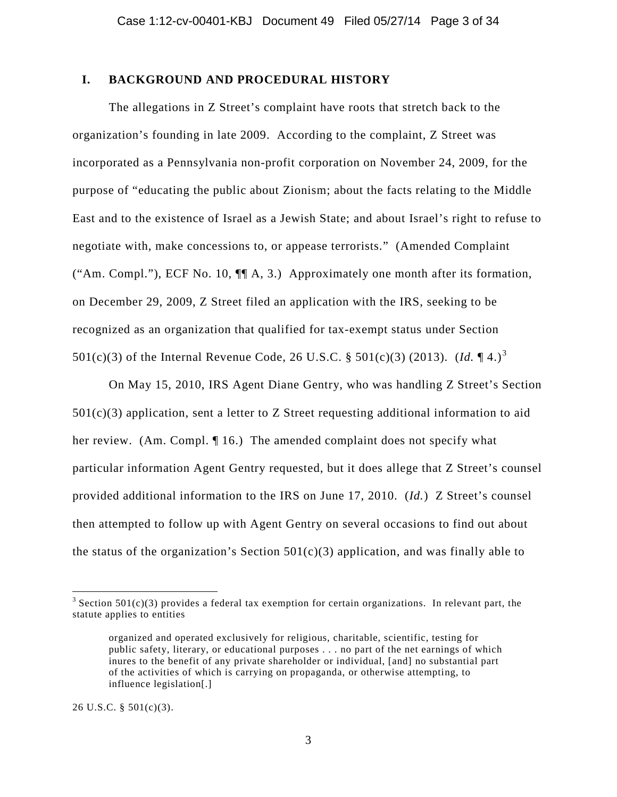## **I. BACKGROUND AND PROCEDURAL HISTORY**

The allegations in Z Street's complaint have roots that stretch back to the organization's founding in late 2009. According to the complaint, Z Street was incorporated as a Pennsylvania non-profit corporation on November 24, 2009, for the purpose of "educating the public about Zionism; about the facts relating to the Middle East and to the existence of Israel as a Jewish State; and about Israel's right to refuse to negotiate with, make concessions to, or appease terrorists." (Amended Complaint ("Am. Compl."), ECF No. 10, ¶¶ A, 3.) Approximately one month after its formation, on December 29, 2009, Z Street filed an application with the IRS, seeking to be recognized as an organization that qualified for tax-exempt status under Section 501(c)(3) of the Internal Revenue Code, 26 U.S.C. § 501(c)(3) (2013). *(Id.* ¶ 4.)<sup>3</sup>

On May 15, 2010, IRS Agent Diane Gentry, who was handling Z Street's Section  $501(c)(3)$  application, sent a letter to Z Street requesting additional information to aid her review. (Am. Compl. 16.) The amended complaint does not specify what particular information Agent Gentry requested, but it does allege that Z Street's counsel provided additional information to the IRS on June 17, 2010. (*Id.*) Z Street's counsel then attempted to follow up with Agent Gentry on several occasions to find out about the status of the organization's Section  $501(c)(3)$  application, and was finally able to

26 U.S.C. § 501(c)(3).

 $\overline{\phantom{a}}$ 

<sup>&</sup>lt;sup>3</sup> Section 501(c)(3) provides a federal tax exemption for certain organizations. In relevant part, the statute applies to entities

organized and operated exclusively for religious, charitable, scientific, testing for public safety, literary, or educational purposes . . . no part of the net earnings of which inures to the benefit of any private shareholder or individual, [and] no substantial part of the activities of which is carrying on propaganda, or otherwise attempting, to influence legislation[.]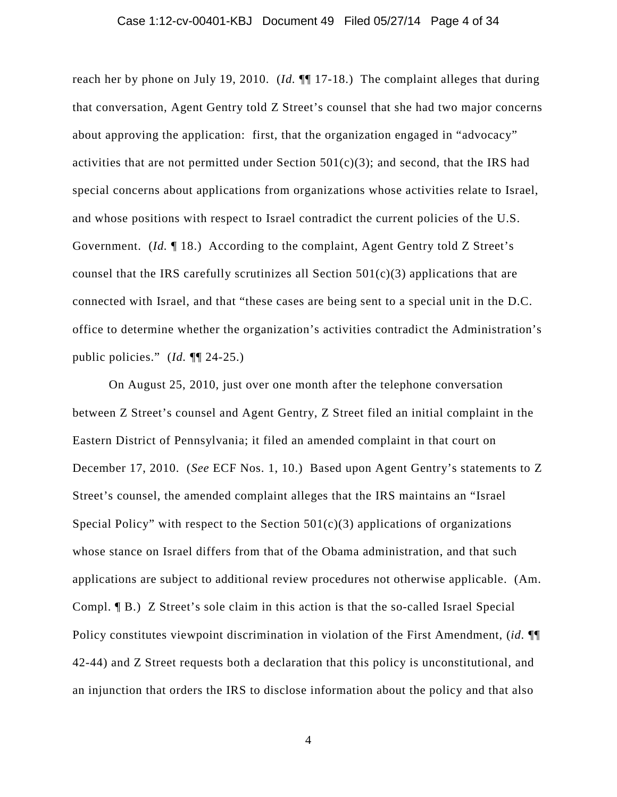reach her by phone on July 19, 2010. (*Id.* ¶¶ 17-18.) The complaint alleges that during that conversation, Agent Gentry told Z Street's counsel that she had two major concerns about approving the application: first, that the organization engaged in "advocacy" activities that are not permitted under Section  $501(c)(3)$ ; and second, that the IRS had special concerns about applications from organizations whose activities relate to Israel, and whose positions with respect to Israel contradict the current policies of the U.S. Government. (*Id.* 18.) According to the complaint, Agent Gentry told Z Street's counsel that the IRS carefully scrutinizes all Section  $501(c)(3)$  applications that are connected with Israel, and that "these cases are being sent to a special unit in the D.C. office to determine whether the organization's activities contradict the Administration's public policies." (*Id.* ¶¶ 24-25.)

On August 25, 2010, just over one month after the telephone conversation between Z Street's counsel and Agent Gentry, Z Street filed an initial complaint in the Eastern District of Pennsylvania; it filed an amended complaint in that court on December 17, 2010. (*See* ECF Nos. 1, 10.) Based upon Agent Gentry's statements to Z Street's counsel, the amended complaint alleges that the IRS maintains an "Israel Special Policy" with respect to the Section  $501(c)(3)$  applications of organizations whose stance on Israel differs from that of the Obama administration, and that such applications are subject to additional review procedures not otherwise applicable. (Am. Compl. ¶ B.) Z Street's sole claim in this action is that the so-called Israel Special Policy constitutes viewpoint discrimination in violation of the First Amendment, (*id.* ¶¶ 42-44) and Z Street requests both a declaration that this policy is unconstitutional, and an injunction that orders the IRS to disclose information about the policy and that also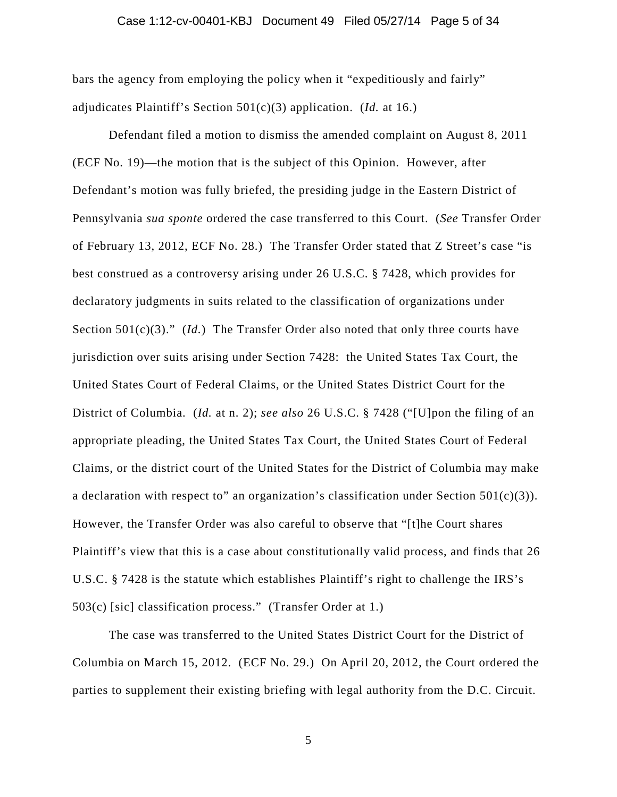### Case 1:12-cv-00401-KBJ Document 49 Filed 05/27/14 Page 5 of 34

bars the agency from employing the policy when it "expeditiously and fairly" adjudicates Plaintiff's Section 501(c)(3) application. (*Id.* at 16.)

Defendant filed a motion to dismiss the amended complaint on August 8, 2011 (ECF No. 19)—the motion that is the subject of this Opinion. However, after Defendant's motion was fully briefed, the presiding judge in the Eastern District of Pennsylvania *sua sponte* ordered the case transferred to this Court. (*See* Transfer Order of February 13, 2012, ECF No. 28.) The Transfer Order stated that Z Street's case "is best construed as a controversy arising under 26 U.S.C. § 7428, which provides for declaratory judgments in suits related to the classification of organizations under Section 501(c)(3)." *(Id.)* The Transfer Order also noted that only three courts have jurisdiction over suits arising under Section 7428: the United States Tax Court, the United States Court of Federal Claims, or the United States District Court for the District of Columbia. (*Id.* at n. 2); *see also* 26 U.S.C. § 7428 ("[U]pon the filing of an appropriate pleading, the United States Tax Court, the United States Court of Federal Claims, or the district court of the United States for the District of Columbia may make a declaration with respect to" an organization's classification under Section  $501(c)(3)$ ). However, the Transfer Order was also careful to observe that "[t]he Court shares Plaintiff's view that this is a case about constitutionally valid process, and finds that 26 U.S.C. § 7428 is the statute which establishes Plaintiff's right to challenge the IRS's 503(c) [sic] classification process." (Transfer Order at 1.)

The case was transferred to the United States District Court for the District of Columbia on March 15, 2012. (ECF No. 29.) On April 20, 2012, the Court ordered the parties to supplement their existing briefing with legal authority from the D.C. Circuit.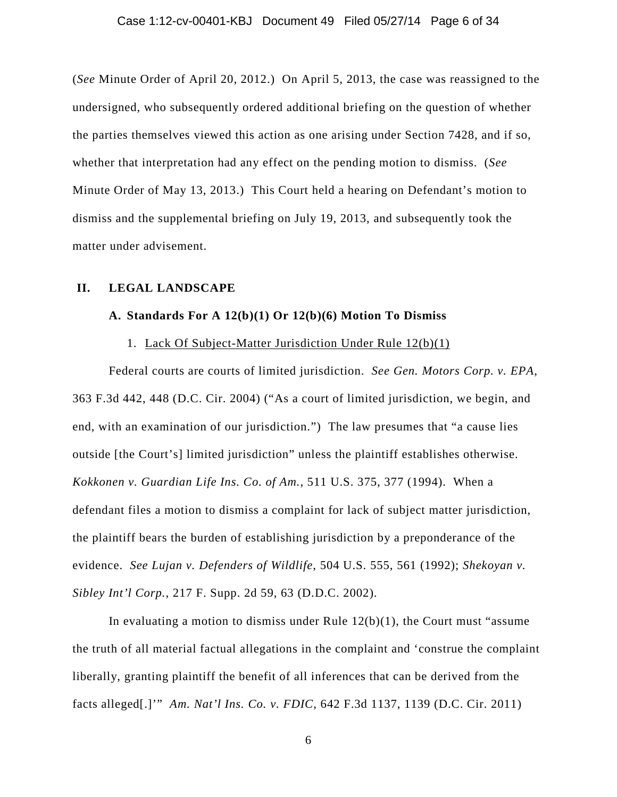### Case 1:12-cv-00401-KBJ Document 49 Filed 05/27/14 Page 6 of 34

(*See* Minute Order of April 20, 2012.) On April 5, 2013, the case was reassigned to the undersigned, who subsequently ordered additional briefing on the question of whether the parties themselves viewed this action as one arising under Section 7428, and if so, whether that interpretation had any effect on the pending motion to dismiss. (*See*  Minute Order of May 13, 2013.) This Court held a hearing on Defendant's motion to dismiss and the supplemental briefing on July 19, 2013, and subsequently took the matter under advisement.

### **II. LEGAL LANDSCAPE**

### **A. Standards For A 12(b)(1) Or 12(b)(6) Motion To Dismiss**

### 1. Lack Of Subject-Matter Jurisdiction Under Rule 12(b)(1)

Federal courts are courts of limited jurisdiction. *See Gen. Motors Corp. v. EPA*, 363 F.3d 442, 448 (D.C. Cir. 2004) ("As a court of limited jurisdiction, we begin, and end, with an examination of our jurisdiction.") The law presumes that "a cause lies outside [the Court's] limited jurisdiction" unless the plaintiff establishes otherwise. *Kokkonen v. Guardian Life Ins. Co. of Am.*, 511 U.S. 375, 377 (1994). When a defendant files a motion to dismiss a complaint for lack of subject matter jurisdiction, the plaintiff bears the burden of establishing jurisdiction by a preponderance of the evidence. *See Lujan v. Defenders of Wildlife*, 504 U.S. 555, 561 (1992); *Shekoyan v. Sibley Int'l Corp.*, 217 F. Supp. 2d 59, 63 (D.D.C. 2002).

In evaluating a motion to dismiss under Rule  $12(b)(1)$ , the Court must "assume" the truth of all material factual allegations in the complaint and 'construe the complaint liberally, granting plaintiff the benefit of all inferences that can be derived from the facts alleged[.]'" *Am. Nat'l Ins. Co. v. FDIC*, 642 F.3d 1137, 1139 (D.C. Cir. 2011)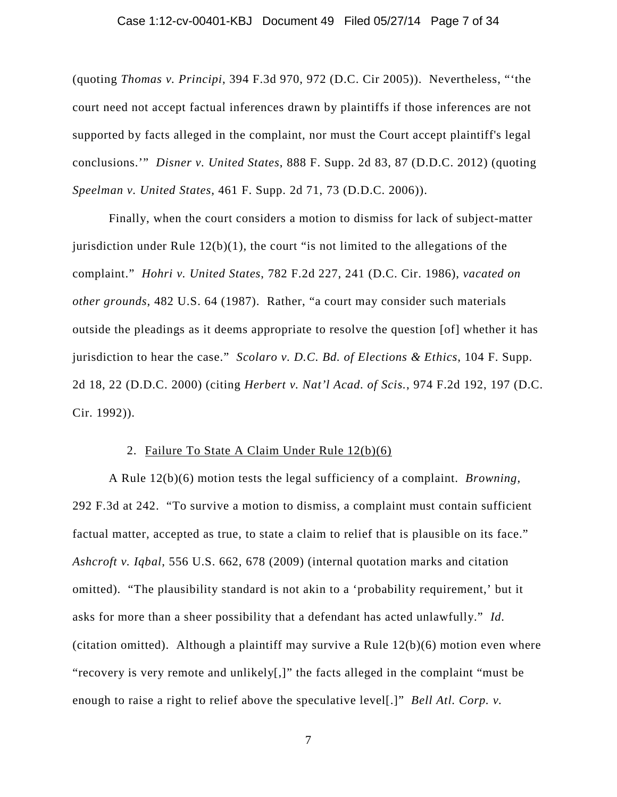### Case 1:12-cv-00401-KBJ Document 49 Filed 05/27/14 Page 7 of 34

(quoting *Thomas v. Principi*, 394 F.3d 970, 972 (D.C. Cir 2005)). Nevertheless, "'the court need not accept factual inferences drawn by plaintiffs if those inferences are not supported by facts alleged in the complaint, nor must the Court accept plaintiff's legal conclusions.'" *Disner v. United States*, 888 F. Supp. 2d 83, 87 (D.D.C. 2012) (quoting *Speelman v. United States*, 461 F. Supp. 2d 71, 73 (D.D.C. 2006)).

Finally, when the court considers a motion to dismiss for lack of subject-matter jurisdiction under Rule  $12(b)(1)$ , the court "is not limited to the allegations of the complaint." *Hohri v. United States*, 782 F.2d 227, 241 (D.C. Cir. 1986), *vacated on other grounds*, 482 U.S. 64 (1987). Rather, "a court may consider such materials outside the pleadings as it deems appropriate to resolve the question [of] whether it has jurisdiction to hear the case." *Scolaro v. D.C. Bd. of Elections & Ethics*, 104 F. Supp. 2d 18, 22 (D.D.C. 2000) (citing *Herbert v. Nat'l Acad. of Scis.*, 974 F.2d 192, 197 (D.C. Cir. 1992)).

### 2. Failure To State A Claim Under Rule 12(b)(6)

A Rule 12(b)(6) motion tests the legal sufficiency of a complaint. *Browning*, 292 F.3d at 242. "To survive a motion to dismiss, a complaint must contain sufficient factual matter, accepted as true, to state a claim to relief that is plausible on its face." *Ashcroft v. Iqbal*, 556 U.S. 662, 678 (2009) (internal quotation marks and citation omitted). "The plausibility standard is not akin to a 'probability requirement,' but it asks for more than a sheer possibility that a defendant has acted unlawfully." *Id.* (citation omitted). Although a plaintiff may survive a Rule  $12(b)(6)$  motion even where "recovery is very remote and unlikely[,]" the facts alleged in the complaint "must be enough to raise a right to relief above the speculative level[.]" *Bell Atl. Corp. v.*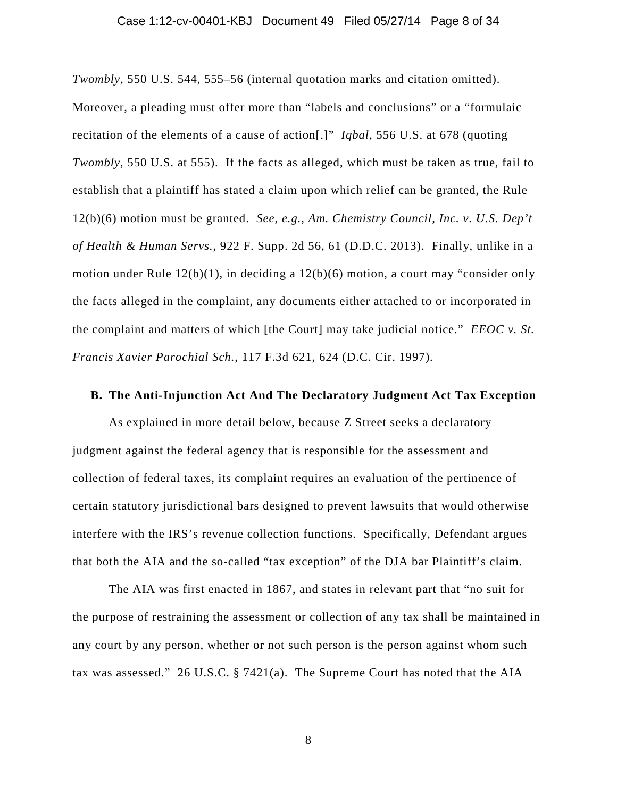### Case 1:12-cv-00401-KBJ Document 49 Filed 05/27/14 Page 8 of 34

*Twombly,* 550 U.S. 544, 555–56 (internal quotation marks and citation omitted). Moreover, a pleading must offer more than "labels and conclusions" or a "formulaic recitation of the elements of a cause of action[.]" *Iqbal*, 556 U.S. at 678 (quoting *Twombly*, 550 U.S. at 555). If the facts as alleged, which must be taken as true, fail to establish that a plaintiff has stated a claim upon which relief can be granted, the Rule 12(b)(6) motion must be granted. *See, e.g.*, *Am. Chemistry Council, Inc. v. U.S. Dep't of Health & Human Servs.*, 922 F. Supp. 2d 56, 61 (D.D.C. 2013). Finally, unlike in a motion under Rule 12(b)(1), in deciding a 12(b)(6) motion, a court may "consider only the facts alleged in the complaint, any documents either attached to or incorporated in the complaint and matters of which [the Court] may take judicial notice." *EEOC v. St. Francis Xavier Parochial Sch.*, 117 F.3d 621, 624 (D.C. Cir. 1997).

### **B. The Anti-Injunction Act And The Declaratory Judgment Act Tax Exception**

As explained in more detail below, because Z Street seeks a declaratory judgment against the federal agency that is responsible for the assessment and collection of federal taxes, its complaint requires an evaluation of the pertinence of certain statutory jurisdictional bars designed to prevent lawsuits that would otherwise interfere with the IRS's revenue collection functions. Specifically, Defendant argues that both the AIA and the so-called "tax exception" of the DJA bar Plaintiff's claim.

The AIA was first enacted in 1867, and states in relevant part that "no suit for the purpose of restraining the assessment or collection of any tax shall be maintained in any court by any person, whether or not such person is the person against whom such tax was assessed." 26 U.S.C. § 7421(a). The Supreme Court has noted that the AIA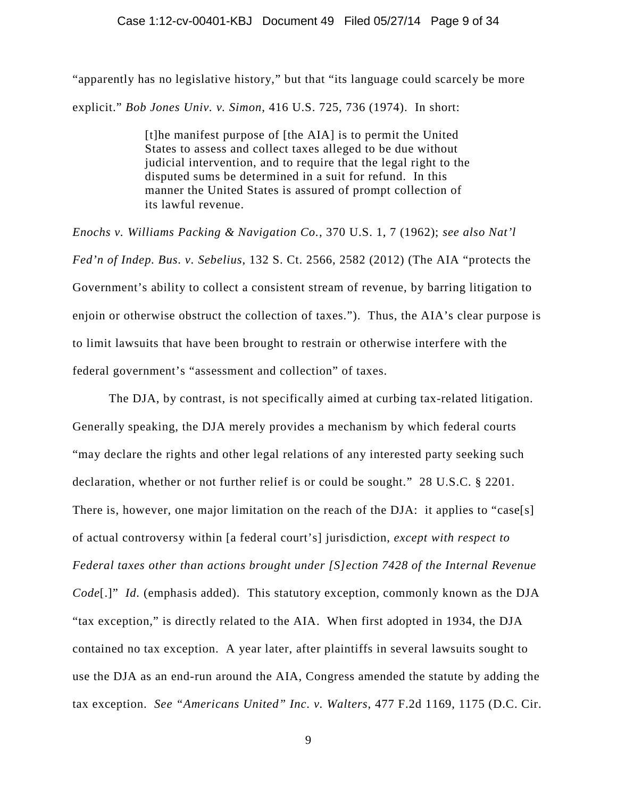"apparently has no legislative history," but that "its language could scarcely be more explicit." *Bob Jones Univ. v. Simon*, 416 U.S. 725, 736 (1974). In short:

> [t]he manifest purpose of [the AIA] is to permit the United States to assess and collect taxes alleged to be due without judicial intervention, and to require that the legal right to the disputed sums be determined in a suit for refund. In this manner the United States is assured of prompt collection of its lawful revenue.

*Enochs v. Williams Packing & Navigation Co.*, 370 U.S. 1, 7 (1962); *see also Nat'l Fed'n of Indep. Bus. v. Sebelius*, 132 S. Ct. 2566, 2582 (2012) (The AIA "protects the Government's ability to collect a consistent stream of revenue, by barring litigation to enjoin or otherwise obstruct the collection of taxes."). Thus, the AIA's clear purpose is to limit lawsuits that have been brought to restrain or otherwise interfere with the federal government's "assessment and collection" of taxes.

The DJA, by contrast, is not specifically aimed at curbing tax-related litigation. Generally speaking, the DJA merely provides a mechanism by which federal courts "may declare the rights and other legal relations of any interested party seeking such declaration, whether or not further relief is or could be sought." 28 U.S.C. § 2201. There is, however, one major limitation on the reach of the DJA: it applies to "case[s] of actual controversy within [a federal court's] jurisdiction, *except with respect to Federal taxes other than actions brought under [S]ection 7428 of the Internal Revenue Code*[.]" *Id.* (emphasis added). This statutory exception, commonly known as the DJA "tax exception," is directly related to the AIA. When first adopted in 1934, the DJA contained no tax exception. A year later, after plaintiffs in several lawsuits sought to use the DJA as an end-run around the AIA, Congress amended the statute by adding the tax exception. *See "Americans United" Inc. v. Walters*, 477 F.2d 1169, 1175 (D.C. Cir.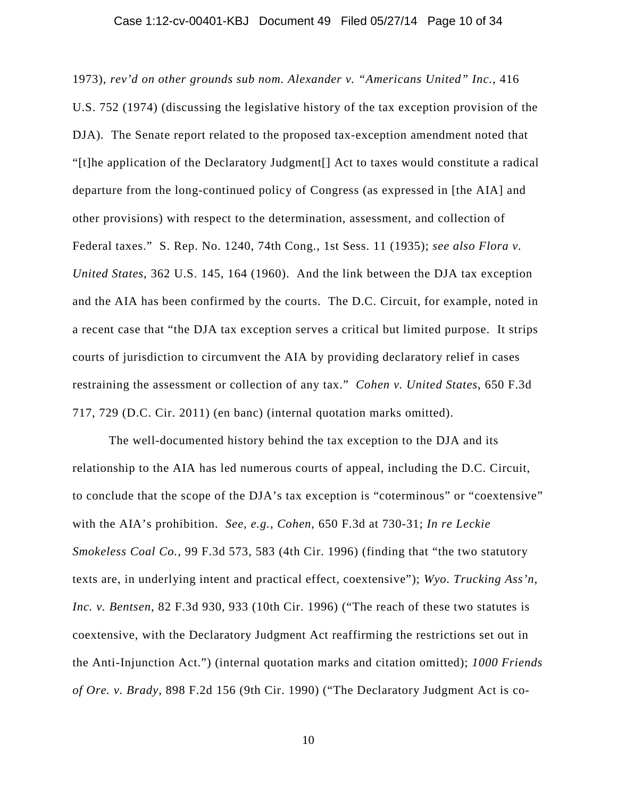### Case 1:12-cv-00401-KBJ Document 49 Filed 05/27/14 Page 10 of 34

1973), *rev'd on other grounds sub nom. Alexander v. "Americans United" Inc.*, 416 U.S. 752 (1974) (discussing the legislative history of the tax exception provision of the DJA)*.* The Senate report related to the proposed tax-exception amendment noted that "[t]he application of the Declaratory Judgment[] Act to taxes would constitute a radical departure from the long-continued policy of Congress (as expressed in [the AIA] and other provisions) with respect to the determination, assessment, and collection of Federal taxes." S. Rep. No. 1240, 74th Cong., 1st Sess. 11 (1935); *see also Flora v. United States*, 362 U.S. 145, 164 (1960). And the link between the DJA tax exception and the AIA has been confirmed by the courts. The D.C. Circuit, for example, noted in a recent case that "the DJA tax exception serves a critical but limited purpose. It strips courts of jurisdiction to circumvent the AIA by providing declaratory relief in cases restraining the assessment or collection of any tax." *Cohen v. United States*, 650 F.3d 717, 729 (D.C. Cir. 2011) (en banc) (internal quotation marks omitted).

The well-documented history behind the tax exception to the DJA and its relationship to the AIA has led numerous courts of appeal, including the D.C. Circuit, to conclude that the scope of the DJA's tax exception is "coterminous" or "coextensive" with the AIA's prohibition. *See, e.g.*, *Cohen*, 650 F.3d at 730-31; *In re Leckie Smokeless Coal Co.*, 99 F.3d 573, 583 (4th Cir. 1996) (finding that "the two statutory texts are, in underlying intent and practical effect, coextensive"); *Wyo. Trucking Ass'n, Inc. v. Bentsen*, 82 F.3d 930, 933 (10th Cir. 1996) ("The reach of these two statutes is coextensive, with the Declaratory Judgment Act reaffirming the restrictions set out in the Anti-Injunction Act.") (internal quotation marks and citation omitted); *1000 Friends of Ore. v. Brady*, 898 F.2d 156 (9th Cir. 1990) ("The Declaratory Judgment Act is co-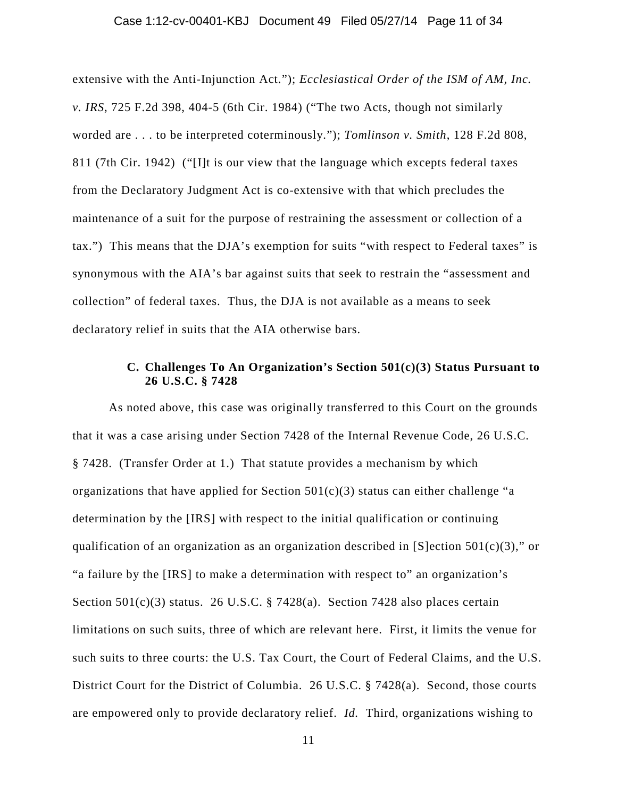### Case 1:12-cv-00401-KBJ Document 49 Filed 05/27/14 Page 11 of 34

extensive with the Anti-Injunction Act."); *Ecclesiastical Order of the ISM of AM, Inc. v. IRS*, 725 F.2d 398, 404-5 (6th Cir. 1984) ("The two Acts, though not similarly worded are . . . to be interpreted coterminously."); *Tomlinson v. Smith*, 128 F.2d 808, 811 (7th Cir. 1942) ("[I]t is our view that the language which excepts federal taxes from the Declaratory Judgment Act is co-extensive with that which precludes the maintenance of a suit for the purpose of restraining the assessment or collection of a tax.") This means that the DJA's exemption for suits "with respect to Federal taxes" is synonymous with the AIA's bar against suits that seek to restrain the "assessment and collection" of federal taxes. Thus, the DJA is not available as a means to seek declaratory relief in suits that the AIA otherwise bars.

## **C. Challenges To An Organization's Section 501(c)(3) Status Pursuant to 26 U.S.C. § 7428**

As noted above, this case was originally transferred to this Court on the grounds that it was a case arising under Section 7428 of the Internal Revenue Code, 26 U.S.C. § 7428. (Transfer Order at 1.) That statute provides a mechanism by which organizations that have applied for Section  $501(c)(3)$  status can either challenge "a determination by the [IRS] with respect to the initial qualification or continuing qualification of an organization as an organization described in [S]ection  $501(c)(3)$ ," or "a failure by the [IRS] to make a determination with respect to" an organization's Section  $501(c)(3)$  status. 26 U.S.C. § 7428(a). Section 7428 also places certain limitations on such suits, three of which are relevant here. First, it limits the venue for such suits to three courts: the U.S. Tax Court, the Court of Federal Claims, and the U.S. District Court for the District of Columbia. 26 U.S.C. § 7428(a). Second, those courts are empowered only to provide declaratory relief. *Id.* Third, organizations wishing to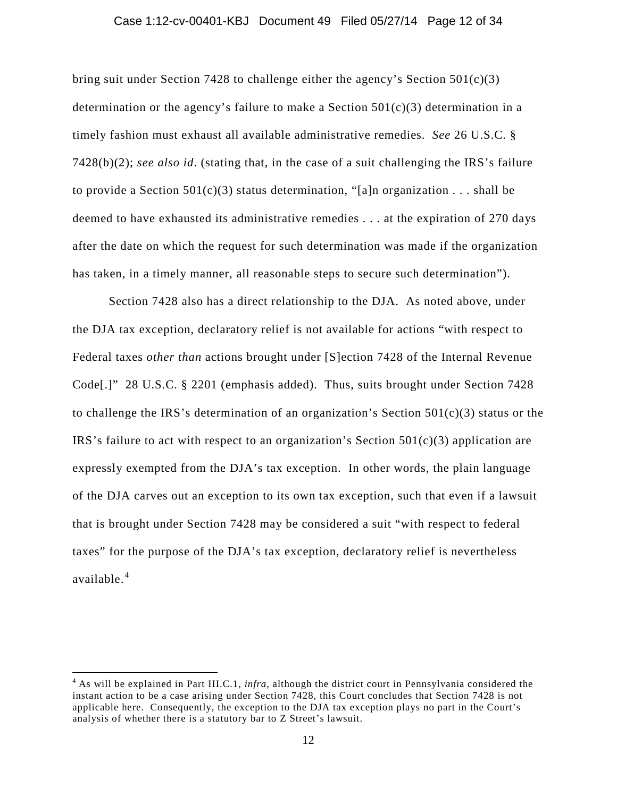#### Case 1:12-cv-00401-KBJ Document 49 Filed 05/27/14 Page 12 of 34

bring suit under Section 7428 to challenge either the agency's Section  $501(c)(3)$ determination or the agency's failure to make a Section  $501(c)(3)$  determination in a timely fashion must exhaust all available administrative remedies. *See* 26 U.S.C. § 7428(b)(2); *see also id*. (stating that, in the case of a suit challenging the IRS's failure to provide a Section  $501(c)(3)$  status determination, "[a]n organization . . . shall be deemed to have exhausted its administrative remedies . . . at the expiration of 270 days after the date on which the request for such determination was made if the organization has taken, in a timely manner, all reasonable steps to secure such determination").

Section 7428 also has a direct relationship to the DJA. As noted above, under the DJA tax exception, declaratory relief is not available for actions "with respect to Federal taxes *other than* actions brought under [S]ection 7428 of the Internal Revenue Code[.]" 28 U.S.C. § 2201 (emphasis added). Thus, suits brought under Section 7428 to challenge the IRS's determination of an organization's Section  $501(c)(3)$  status or the IRS's failure to act with respect to an organization's Section  $501(c)(3)$  application are expressly exempted from the DJA's tax exception. In other words, the plain language of the DJA carves out an exception to its own tax exception, such that even if a lawsuit that is brought under Section 7428 may be considered a suit "with respect to federal taxes" for the purpose of the DJA's tax exception, declaratory relief is nevertheless available. 4

l

<sup>4</sup> As will be explained in Part III.C.1, *infra*, although the district court in Pennsylvania considered the instant action to be a case arising under Section 7428, this Court concludes that Section 7428 is not applicable here. Consequently, the exception to the DJA tax exception plays no part in the Court's analysis of whether there is a statutory bar to Z Street's lawsuit.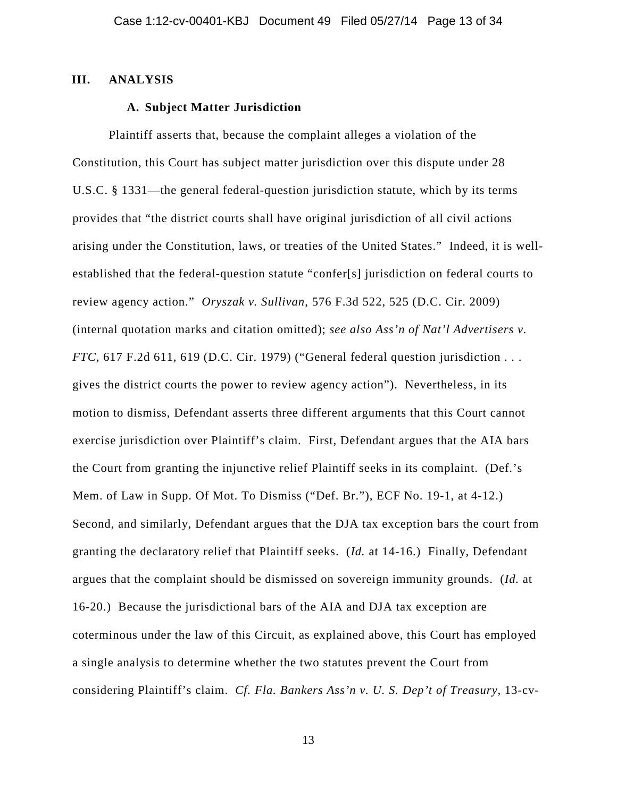### **III. ANALYSIS**

## **A. Subject Matter Jurisdiction**

Plaintiff asserts that, because the complaint alleges a violation of the Constitution, this Court has subject matter jurisdiction over this dispute under 28 U.S.C. § 1331—the general federal-question jurisdiction statute, which by its terms provides that "the district courts shall have original jurisdiction of all civil actions arising under the Constitution, laws, or treaties of the United States." Indeed, it is wellestablished that the federal-question statute "confer[s] jurisdiction on federal courts to review agency action." *Oryszak v. Sullivan*, 576 F.3d 522, 525 (D.C. Cir. 2009) (internal quotation marks and citation omitted); *see also Ass'n of Nat'l Advertisers v. FTC*, 617 F.2d 611, 619 (D.C. Cir. 1979) ("General federal question jurisdiction . . . gives the district courts the power to review agency action"). Nevertheless, in its motion to dismiss, Defendant asserts three different arguments that this Court cannot exercise jurisdiction over Plaintiff's claim. First, Defendant argues that the AIA bars the Court from granting the injunctive relief Plaintiff seeks in its complaint. (Def.'s Mem. of Law in Supp. Of Mot. To Dismiss ("Def. Br."), ECF No. 19-1, at 4-12.) Second, and similarly, Defendant argues that the DJA tax exception bars the court from granting the declaratory relief that Plaintiff seeks. (*Id.* at 14-16.) Finally, Defendant argues that the complaint should be dismissed on sovereign immunity grounds. (*Id.* at 16-20.) Because the jurisdictional bars of the AIA and DJA tax exception are coterminous under the law of this Circuit, as explained above, this Court has employed a single analysis to determine whether the two statutes prevent the Court from considering Plaintiff's claim. *Cf. Fla. Bankers Ass'n v. U. S. Dep't of Treasury*, 13-cv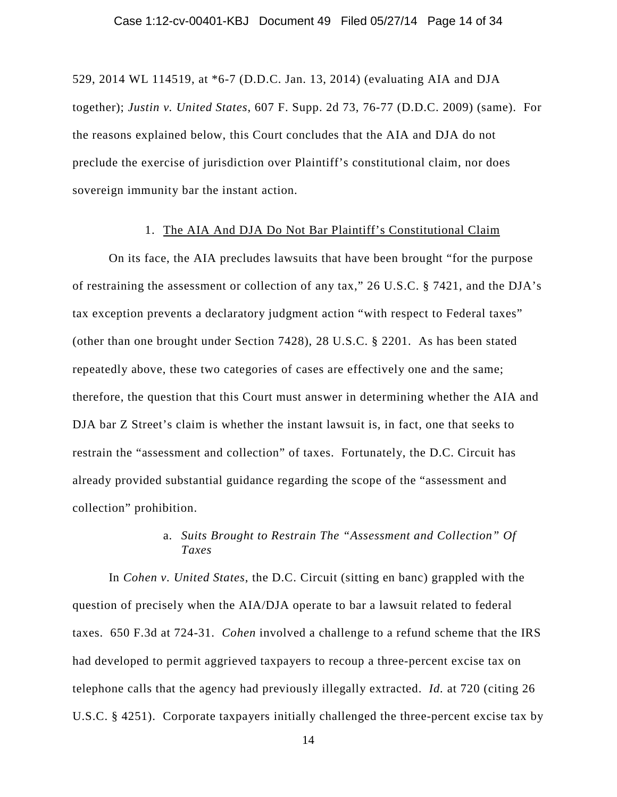529, 2014 WL 114519, at \*6-7 (D.D.C. Jan. 13, 2014) (evaluating AIA and DJA together); *Justin v. United States*, 607 F. Supp. 2d 73, 76-77 (D.D.C. 2009) (same). For the reasons explained below, this Court concludes that the AIA and DJA do not preclude the exercise of jurisdiction over Plaintiff's constitutional claim, nor does sovereign immunity bar the instant action.

#### 1. The AIA And DJA Do Not Bar Plaintiff's Constitutional Claim

On its face, the AIA precludes lawsuits that have been brought "for the purpose of restraining the assessment or collection of any tax," 26 U.S.C. § 7421, and the DJA's tax exception prevents a declaratory judgment action "with respect to Federal taxes" (other than one brought under Section 7428), 28 U.S.C. § 2201. As has been stated repeatedly above, these two categories of cases are effectively one and the same; therefore, the question that this Court must answer in determining whether the AIA and DJA bar Z Street's claim is whether the instant lawsuit is, in fact, one that seeks to restrain the "assessment and collection" of taxes. Fortunately, the D.C. Circuit has already provided substantial guidance regarding the scope of the "assessment and collection" prohibition.

# a. *Suits Brought to Restrain The "Assessment and Collection" Of Taxes*

In *Cohen v. United States*, the D.C. Circuit (sitting en banc) grappled with the question of precisely when the AIA/DJA operate to bar a lawsuit related to federal taxes. 650 F.3d at 724-31. *Cohen* involved a challenge to a refund scheme that the IRS had developed to permit aggrieved taxpayers to recoup a three-percent excise tax on telephone calls that the agency had previously illegally extracted. *Id.* at 720 (citing 26 U.S.C. § 4251). Corporate taxpayers initially challenged the three-percent excise tax by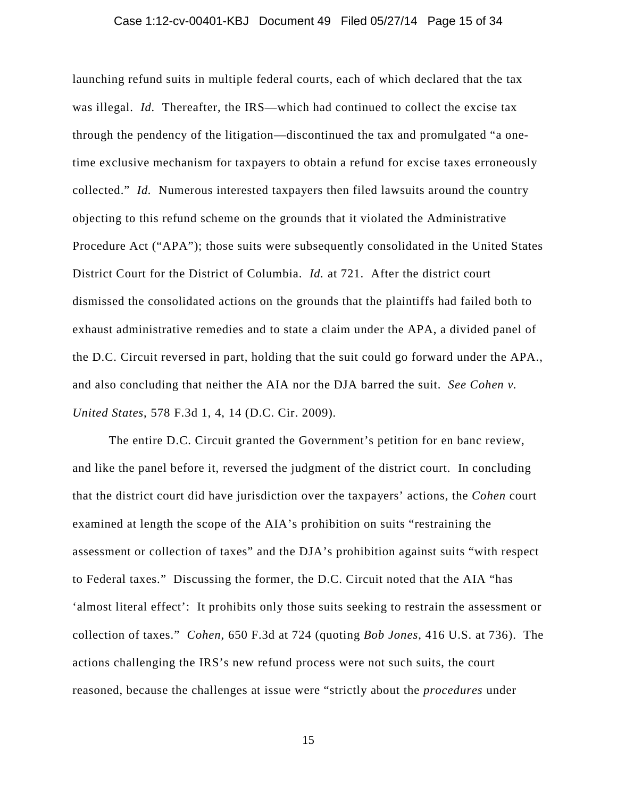### Case 1:12-cv-00401-KBJ Document 49 Filed 05/27/14 Page 15 of 34

launching refund suits in multiple federal courts, each of which declared that the tax was illegal. *Id.* Thereafter, the IRS—which had continued to collect the excise tax through the pendency of the litigation—discontinued the tax and promulgated "a onetime exclusive mechanism for taxpayers to obtain a refund for excise taxes erroneously collected." *Id.* Numerous interested taxpayers then filed lawsuits around the country objecting to this refund scheme on the grounds that it violated the Administrative Procedure Act ("APA"); those suits were subsequently consolidated in the United States District Court for the District of Columbia. *Id.* at 721. After the district court dismissed the consolidated actions on the grounds that the plaintiffs had failed both to exhaust administrative remedies and to state a claim under the APA, a divided panel of the D.C. Circuit reversed in part, holding that the suit could go forward under the APA., and also concluding that neither the AIA nor the DJA barred the suit. *See Cohen v. United States*, 578 F.3d 1, 4, 14 (D.C. Cir. 2009).

The entire D.C. Circuit granted the Government's petition for en banc review, and like the panel before it, reversed the judgment of the district court. In concluding that the district court did have jurisdiction over the taxpayers' actions, the *Cohen* court examined at length the scope of the AIA's prohibition on suits "restraining the assessment or collection of taxes" and the DJA's prohibition against suits "with respect to Federal taxes." Discussing the former, the D.C. Circuit noted that the AIA "has 'almost literal effect': It prohibits only those suits seeking to restrain the assessment or collection of taxes." *Cohen*, 650 F.3d at 724 (quoting *Bob Jones*, 416 U.S. at 736). The actions challenging the IRS's new refund process were not such suits, the court reasoned, because the challenges at issue were "strictly about the *procedures* under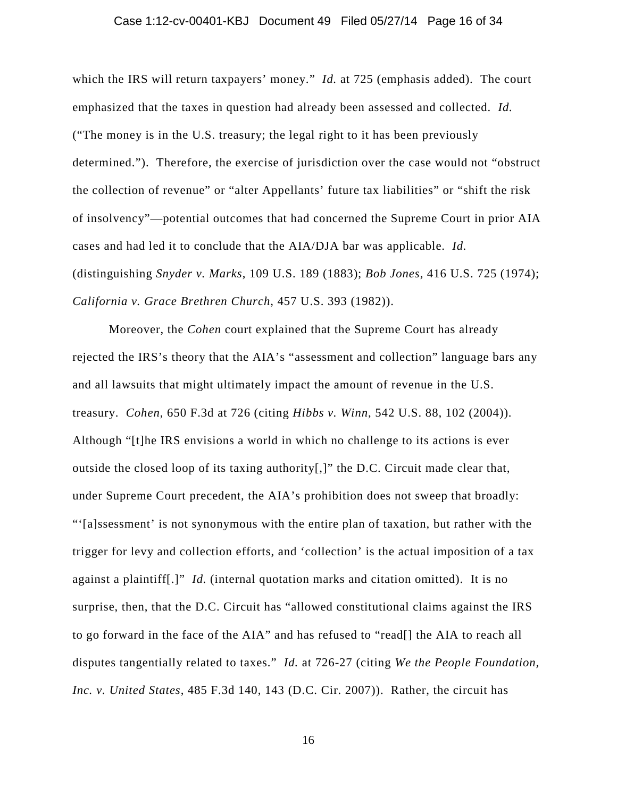### Case 1:12-cv-00401-KBJ Document 49 Filed 05/27/14 Page 16 of 34

which the IRS will return taxpayers' money." *Id.* at 725 (emphasis added). The court emphasized that the taxes in question had already been assessed and collected. *Id.* ("The money is in the U.S. treasury; the legal right to it has been previously determined."). Therefore, the exercise of jurisdiction over the case would not "obstruct the collection of revenue" or "alter Appellants' future tax liabilities" or "shift the risk of insolvency"—potential outcomes that had concerned the Supreme Court in prior AIA cases and had led it to conclude that the AIA/DJA bar was applicable. *Id.* (distinguishing *Snyder v. Marks*, 109 U.S. 189 (1883); *Bob Jones*, 416 U.S. 725 (1974); *California v. Grace Brethren Church*, 457 U.S. 393 (1982)).

Moreover, the *Cohen* court explained that the Supreme Court has already rejected the IRS's theory that the AIA's "assessment and collection" language bars any and all lawsuits that might ultimately impact the amount of revenue in the U.S. treasury. *Cohen*, 650 F.3d at 726 (citing *Hibbs v. Winn*, 542 U.S. 88, 102 (2004)). Although "[t]he IRS envisions a world in which no challenge to its actions is ever outside the closed loop of its taxing authority[,]" the D.C. Circuit made clear that, under Supreme Court precedent, the AIA's prohibition does not sweep that broadly: "'[a]ssessment' is not synonymous with the entire plan of taxation, but rather with the trigger for levy and collection efforts, and 'collection' is the actual imposition of a tax against a plaintiff[.]" *Id.* (internal quotation marks and citation omitted). It is no surprise, then, that the D.C. Circuit has "allowed constitutional claims against the IRS to go forward in the face of the AIA" and has refused to "read[] the AIA to reach all disputes tangentially related to taxes." *Id.* at 726-27 (citing *We the People Foundation, Inc. v. United States*, 485 F.3d 140, 143 (D.C. Cir. 2007)). Rather, the circuit has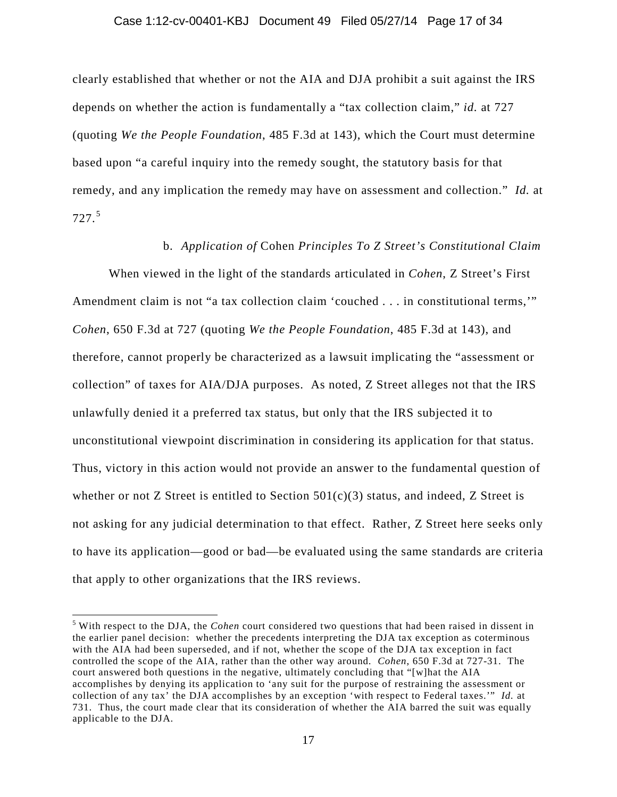#### Case 1:12-cv-00401-KBJ Document 49 Filed 05/27/14 Page 17 of 34

clearly established that whether or not the AIA and DJA prohibit a suit against the IRS depends on whether the action is fundamentally a "tax collection claim," *id.* at 727 (quoting *We the People Foundation*, 485 F.3d at 143), which the Court must determine based upon "a careful inquiry into the remedy sought, the statutory basis for that remedy, and any implication the remedy may have on assessment and collection." *Id.* at 727. 5

### b. *Application of* Cohen *Principles To Z Street's Constitutional Claim*

When viewed in the light of the standards articulated in *Cohen*, Z Street's First Amendment claim is not "a tax collection claim 'couched . . . in constitutional terms,'" *Cohen*, 650 F.3d at 727 (quoting *We the People Foundation*, 485 F.3d at 143), and therefore, cannot properly be characterized as a lawsuit implicating the "assessment or collection" of taxes for AIA/DJA purposes. As noted, Z Street alleges not that the IRS unlawfully denied it a preferred tax status, but only that the IRS subjected it to unconstitutional viewpoint discrimination in considering its application for that status. Thus, victory in this action would not provide an answer to the fundamental question of whether or not Z Street is entitled to Section  $501(c)(3)$  status, and indeed, Z Street is not asking for any judicial determination to that effect. Rather, Z Street here seeks only to have its application—good or bad—be evaluated using the same standards are criteria that apply to other organizations that the IRS reviews.

 $\overline{\phantom{a}}$ 

<sup>5</sup> With respect to the DJA, the *Cohen* court considered two questions that had been raised in dissent in the earlier panel decision: whether the precedents interpreting the DJA tax exception as coterminous with the AIA had been superseded, and if not, whether the scope of the DJA tax exception in fact controlled the scope of the AIA, rather than the other way around. *Cohen*, 650 F.3d at 727-31. The court answered both questions in the negative, ultimately concluding that "[w]hat the AIA accomplishes by denying its application to 'any suit for the purpose of restraining the assessment or collection of any tax' the DJA accomplishes by an exception 'with respect to Federal taxes.'" *Id.* at 731. Thus, the court made clear that its consideration of whether the AIA barred the suit was equally applicable to the DJA.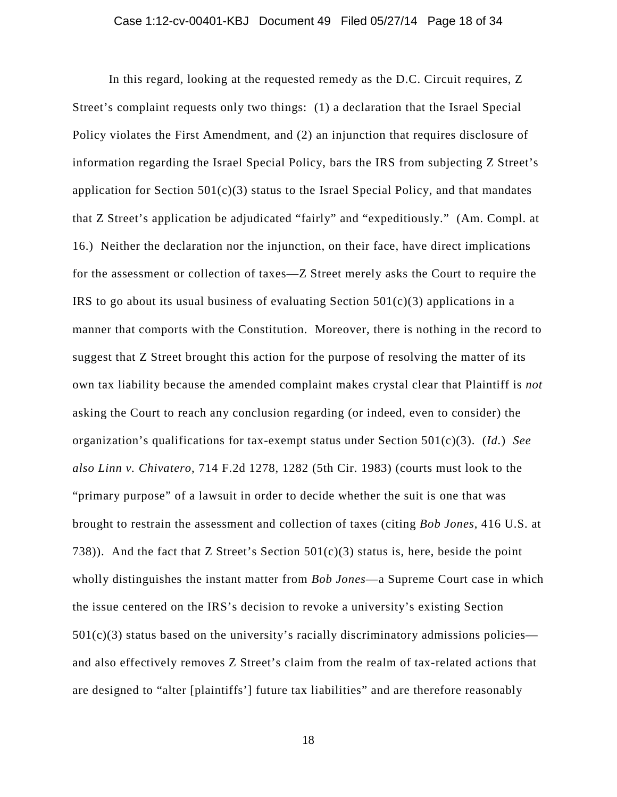In this regard, looking at the requested remedy as the D.C. Circuit requires, Z Street's complaint requests only two things: (1) a declaration that the Israel Special Policy violates the First Amendment, and (2) an injunction that requires disclosure of information regarding the Israel Special Policy, bars the IRS from subjecting Z Street's application for Section  $501(c)(3)$  status to the Israel Special Policy, and that mandates that Z Street's application be adjudicated "fairly" and "expeditiously." (Am. Compl. at 16.) Neither the declaration nor the injunction, on their face, have direct implications for the assessment or collection of taxes—Z Street merely asks the Court to require the IRS to go about its usual business of evaluating Section  $501(c)(3)$  applications in a manner that comports with the Constitution. Moreover, there is nothing in the record to suggest that Z Street brought this action for the purpose of resolving the matter of its own tax liability because the amended complaint makes crystal clear that Plaintiff is *not*  asking the Court to reach any conclusion regarding (or indeed, even to consider) the organization's qualifications for tax-exempt status under Section 501(c)(3). (*Id.*) *See also Linn v. Chivatero*, 714 F.2d 1278, 1282 (5th Cir. 1983) (courts must look to the "primary purpose" of a lawsuit in order to decide whether the suit is one that was brought to restrain the assessment and collection of taxes (citing *Bob Jones*, 416 U.S. at 738)). And the fact that Z Street's Section  $501(c)(3)$  status is, here, beside the point wholly distinguishes the instant matter from *Bob Jones*—a Supreme Court case in which the issue centered on the IRS's decision to revoke a university's existing Section  $501(c)(3)$  status based on the university's racially discriminatory admissions policies and also effectively removes Z Street's claim from the realm of tax-related actions that are designed to "alter [plaintiffs'] future tax liabilities" and are therefore reasonably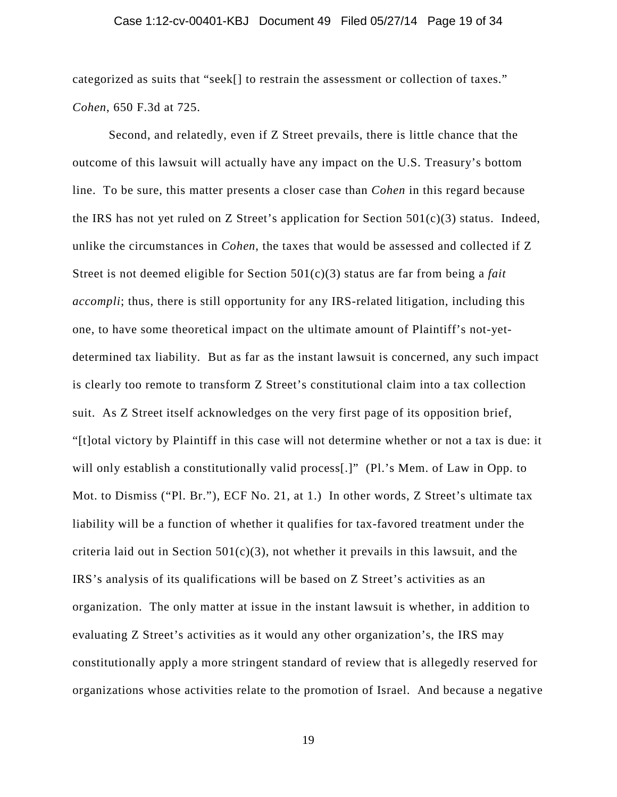### Case 1:12-cv-00401-KBJ Document 49 Filed 05/27/14 Page 19 of 34

categorized as suits that "seek[] to restrain the assessment or collection of taxes." *Cohen*, 650 F.3d at 725.

Second, and relatedly, even if Z Street prevails, there is little chance that the outcome of this lawsuit will actually have any impact on the U.S. Treasury's bottom line. To be sure, this matter presents a closer case than *Cohen* in this regard because the IRS has not yet ruled on Z Street's application for Section  $501(c)(3)$  status. Indeed, unlike the circumstances in *Cohen*, the taxes that would be assessed and collected if Z Street is not deemed eligible for Section 501(c)(3) status are far from being a *fait accompli*; thus, there is still opportunity for any IRS-related litigation, including this one, to have some theoretical impact on the ultimate amount of Plaintiff's not-yetdetermined tax liability. But as far as the instant lawsuit is concerned, any such impact is clearly too remote to transform Z Street's constitutional claim into a tax collection suit. As Z Street itself acknowledges on the very first page of its opposition brief, "[t]otal victory by Plaintiff in this case will not determine whether or not a tax is due: it will only establish a constitutionally valid process[.]" (Pl.'s Mem. of Law in Opp. to Mot. to Dismiss ("Pl. Br."), ECF No. 21, at 1.) In other words, Z Street's ultimate tax liability will be a function of whether it qualifies for tax-favored treatment under the criteria laid out in Section  $501(c)(3)$ , not whether it prevails in this lawsuit, and the IRS's analysis of its qualifications will be based on Z Street's activities as an organization. The only matter at issue in the instant lawsuit is whether, in addition to evaluating Z Street's activities as it would any other organization's, the IRS may constitutionally apply a more stringent standard of review that is allegedly reserved for organizations whose activities relate to the promotion of Israel. And because a negative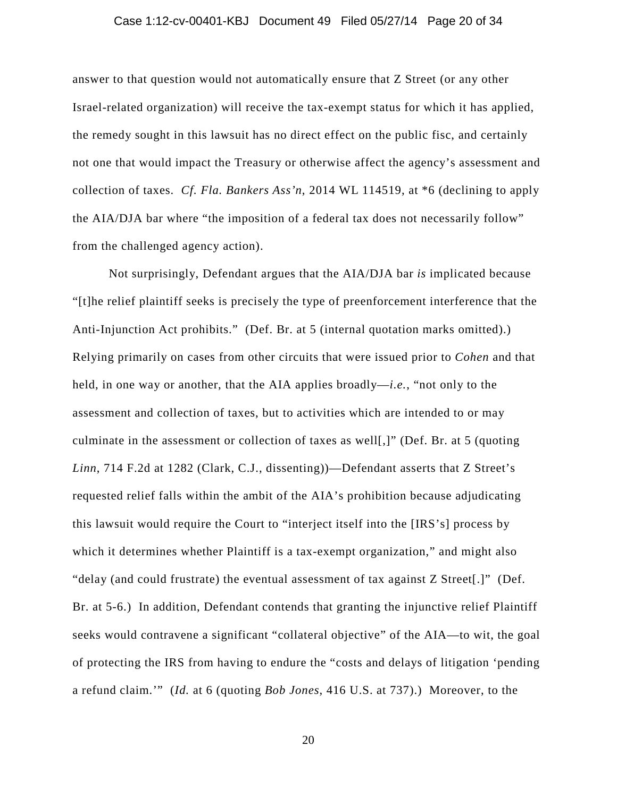### Case 1:12-cv-00401-KBJ Document 49 Filed 05/27/14 Page 20 of 34

answer to that question would not automatically ensure that Z Street (or any other Israel-related organization) will receive the tax-exempt status for which it has applied, the remedy sought in this lawsuit has no direct effect on the public fisc, and certainly not one that would impact the Treasury or otherwise affect the agency's assessment and collection of taxes. *Cf. Fla. Bankers Ass'n*, 2014 WL 114519, at \*6 (declining to apply the AIA/DJA bar where "the imposition of a federal tax does not necessarily follow" from the challenged agency action).

Not surprisingly, Defendant argues that the AIA/DJA bar *is* implicated because "[t]he relief plaintiff seeks is precisely the type of preenforcement interference that the Anti-Injunction Act prohibits." (Def. Br. at 5 (internal quotation marks omitted).) Relying primarily on cases from other circuits that were issued prior to *Cohen* and that held, in one way or another, that the AIA applies broadly—*i.e.*, "not only to the assessment and collection of taxes, but to activities which are intended to or may culminate in the assessment or collection of taxes as well[,]" (Def. Br. at 5 (quoting *Linn*, 714 F.2d at 1282 (Clark, C.J., dissenting))—Defendant asserts that Z Street's requested relief falls within the ambit of the AIA's prohibition because adjudicating this lawsuit would require the Court to "interject itself into the [IRS's] process by which it determines whether Plaintiff is a tax-exempt organization," and might also "delay (and could frustrate) the eventual assessment of tax against Z Street[.]" (Def. Br. at 5-6.) In addition, Defendant contends that granting the injunctive relief Plaintiff seeks would contravene a significant "collateral objective" of the AIA—to wit, the goal of protecting the IRS from having to endure the "costs and delays of litigation 'pending a refund claim.'" (*Id.* at 6 (quoting *Bob Jones*, 416 U.S. at 737).) Moreover, to the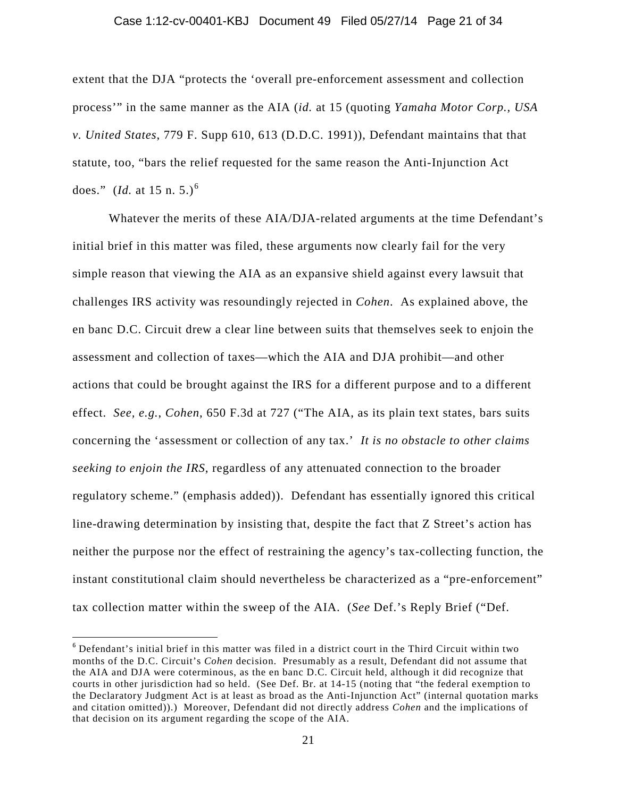#### Case 1:12-cv-00401-KBJ Document 49 Filed 05/27/14 Page 21 of 34

extent that the DJA "protects the 'overall pre-enforcement assessment and collection process'" in the same manner as the AIA (*id.* at 15 (quoting *Yamaha Motor Corp., USA v. United States*, 779 F. Supp 610, 613 (D.D.C. 1991)), Defendant maintains that that statute, too, "bars the relief requested for the same reason the Anti-Injunction Act does." (*Id.* at 15 n. 5.)<sup>6</sup>

Whatever the merits of these AIA/DJA-related arguments at the time Defendant's initial brief in this matter was filed, these arguments now clearly fail for the very simple reason that viewing the AIA as an expansive shield against every lawsuit that challenges IRS activity was resoundingly rejected in *Cohen*. As explained above, the en banc D.C. Circuit drew a clear line between suits that themselves seek to enjoin the assessment and collection of taxes—which the AIA and DJA prohibit—and other actions that could be brought against the IRS for a different purpose and to a different effect. *See, e.g.*, *Cohen*, 650 F.3d at 727 ("The AIA, as its plain text states, bars suits concerning the 'assessment or collection of any tax.' *It is no obstacle to other claims seeking to enjoin the IRS*, regardless of any attenuated connection to the broader regulatory scheme." (emphasis added)). Defendant has essentially ignored this critical line-drawing determination by insisting that, despite the fact that Z Street's action has neither the purpose nor the effect of restraining the agency's tax-collecting function, the instant constitutional claim should nevertheless be characterized as a "pre-enforcement" tax collection matter within the sweep of the AIA. (*See* Def.'s Reply Brief ("Def.

l

<sup>6</sup> Defendant's initial brief in this matter was filed in a district court in the Third Circuit within two months of the D.C. Circuit's *Cohen* decision. Presumably as a result, Defendant did not assume that the AIA and DJA were coterminous, as the en banc D.C. Circuit held, although it did recognize that courts in other jurisdiction had so held. (See Def. Br. at 14-15 (noting that "the federal exemption to the Declaratory Judgment Act is at least as broad as the Anti-Injunction Act" (internal quotation marks and citation omitted)).) Moreover, Defendant did not directly address *Cohen* and the implications of that decision on its argument regarding the scope of the AIA.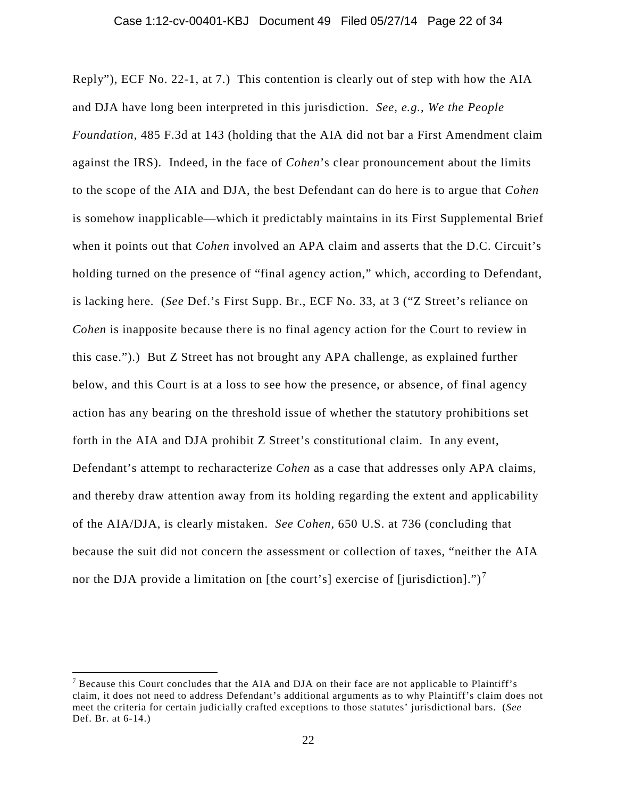Reply"), ECF No. 22-1, at 7.) This contention is clearly out of step with how the AIA and DJA have long been interpreted in this jurisdiction. *See, e.g.*, *We the People Foundation*, 485 F.3d at 143 (holding that the AIA did not bar a First Amendment claim against the IRS). Indeed, in the face of *Cohen*'s clear pronouncement about the limits to the scope of the AIA and DJA, the best Defendant can do here is to argue that *Cohen* is somehow inapplicable—which it predictably maintains in its First Supplemental Brief when it points out that *Cohen* involved an APA claim and asserts that the D.C. Circuit's holding turned on the presence of "final agency action," which, according to Defendant, is lacking here. (*See* Def.'s First Supp. Br., ECF No. 33, at 3 ("Z Street's reliance on *Cohen* is inapposite because there is no final agency action for the Court to review in this case.").) But Z Street has not brought any APA challenge, as explained further below, and this Court is at a loss to see how the presence, or absence, of final agency action has any bearing on the threshold issue of whether the statutory prohibitions set forth in the AIA and DJA prohibit Z Street's constitutional claim. In any event, Defendant's attempt to recharacterize *Cohen* as a case that addresses only APA claims, and thereby draw attention away from its holding regarding the extent and applicability of the AIA/DJA, is clearly mistaken. *See Cohen*, 650 U.S. at 736 (concluding that because the suit did not concern the assessment or collection of taxes, "neither the AIA nor the DJA provide a limitation on [the court's] exercise of [jurisdiction].")<sup>7</sup>

l

 $<sup>7</sup>$  Because this Court concludes that the AIA and DJA on their face are not applicable to Plaintiff's</sup> claim, it does not need to address Defendant's additional arguments as to why Plaintiff's claim does not meet the criteria for certain judicially crafted exceptions to those statutes' jurisdictional bars. (*See* Def. Br. at 6-14.)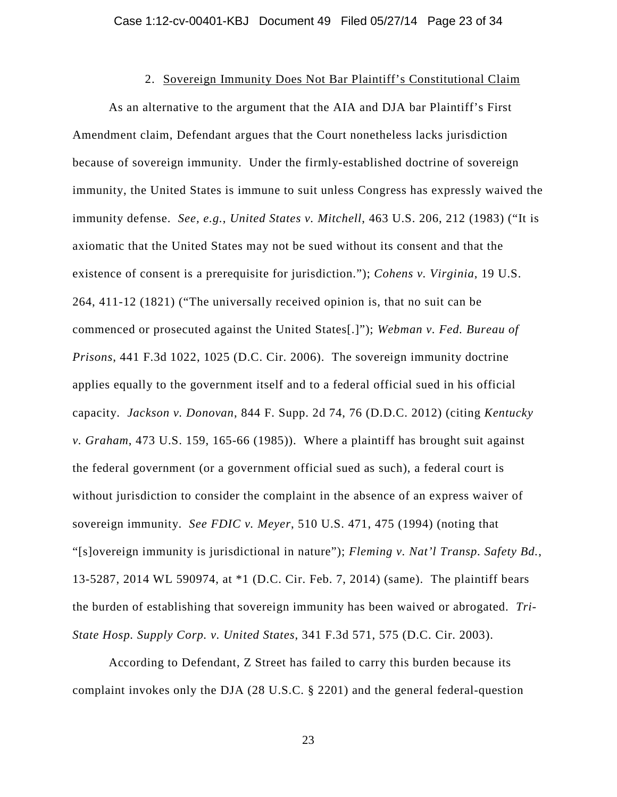### 2. Sovereign Immunity Does Not Bar Plaintiff's Constitutional Claim

As an alternative to the argument that the AIA and DJA bar Plaintiff's First Amendment claim, Defendant argues that the Court nonetheless lacks jurisdiction because of sovereign immunity. Under the firmly-established doctrine of sovereign immunity, the United States is immune to suit unless Congress has expressly waived the immunity defense. *See, e.g.*, *United States v. Mitchell*, 463 U.S. 206, 212 (1983) ("It is axiomatic that the United States may not be sued without its consent and that the existence of consent is a prerequisite for jurisdiction."); *Cohens v. Virginia*, 19 U.S. 264, 411-12 (1821) ("The universally received opinion is, that no suit can be commenced or prosecuted against the United States[.]"); *Webman v. Fed. Bureau of Prisons*, 441 F.3d 1022, 1025 (D.C. Cir. 2006). The sovereign immunity doctrine applies equally to the government itself and to a federal official sued in his official capacity. *Jackson v. Donovan*, 844 F. Supp. 2d 74, 76 (D.D.C. 2012) (citing *Kentucky v. Graham*, 473 U.S. 159, 165-66 (1985)). Where a plaintiff has brought suit against the federal government (or a government official sued as such), a federal court is without jurisdiction to consider the complaint in the absence of an express waiver of sovereign immunity. *See FDIC v. Meyer*, 510 U.S. 471, 475 (1994) (noting that "[s]overeign immunity is jurisdictional in nature"); *Fleming v. Nat'l Transp. Safety Bd.*, 13-5287, 2014 WL 590974, at \*1 (D.C. Cir. Feb. 7, 2014) (same). The plaintiff bears the burden of establishing that sovereign immunity has been waived or abrogated. *Tri-State Hosp. Supply Corp. v. United States*, 341 F.3d 571, 575 (D.C. Cir. 2003).

According to Defendant, Z Street has failed to carry this burden because its complaint invokes only the DJA (28 U.S.C. § 2201) and the general federal-question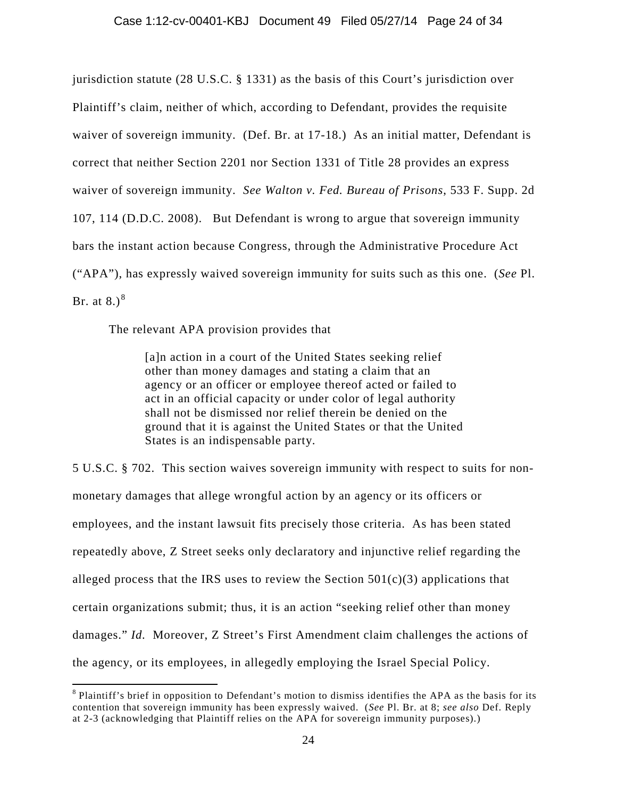jurisdiction statute (28 U.S.C. § 1331) as the basis of this Court's jurisdiction over Plaintiff's claim, neither of which, according to Defendant, provides the requisite waiver of sovereign immunity. (Def. Br. at 17-18.) As an initial matter, Defendant is correct that neither Section 2201 nor Section 1331 of Title 28 provides an express waiver of sovereign immunity. *See Walton v. Fed. Bureau of Prisons*, 533 F. Supp. 2d 107, 114 (D.D.C. 2008). But Defendant is wrong to argue that sovereign immunity bars the instant action because Congress, through the Administrative Procedure Act ("APA"), has expressly waived sovereign immunity for suits such as this one. (*See* Pl. Br. at  $8.$ ) $^{8}$ 

The relevant APA provision provides that

 $\overline{\phantom{a}}$ 

[a]n action in a court of the United States seeking relief other than money damages and stating a claim that an agency or an officer or employee thereof acted or failed to act in an official capacity or under color of legal authority shall not be dismissed nor relief therein be denied on the ground that it is against the United States or that the United States is an indispensable party.

5 U.S.C. § 702. This section waives sovereign immunity with respect to suits for nonmonetary damages that allege wrongful action by an agency or its officers or employees, and the instant lawsuit fits precisely those criteria. As has been stated repeatedly above, Z Street seeks only declaratory and injunctive relief regarding the alleged process that the IRS uses to review the Section  $501(c)(3)$  applications that certain organizations submit; thus, it is an action "seeking relief other than money damages." *Id.* Moreover, Z Street's First Amendment claim challenges the actions of the agency, or its employees, in allegedly employing the Israel Special Policy.

<sup>&</sup>lt;sup>8</sup> Plaintiff's brief in opposition to Defendant's motion to dismiss identifies the APA as the basis for its contention that sovereign immunity has been expressly waived. (*See* Pl. Br. at 8; *see also* Def. Reply at 2-3 (acknowledging that Plaintiff relies on the APA for sovereign immunity purposes).)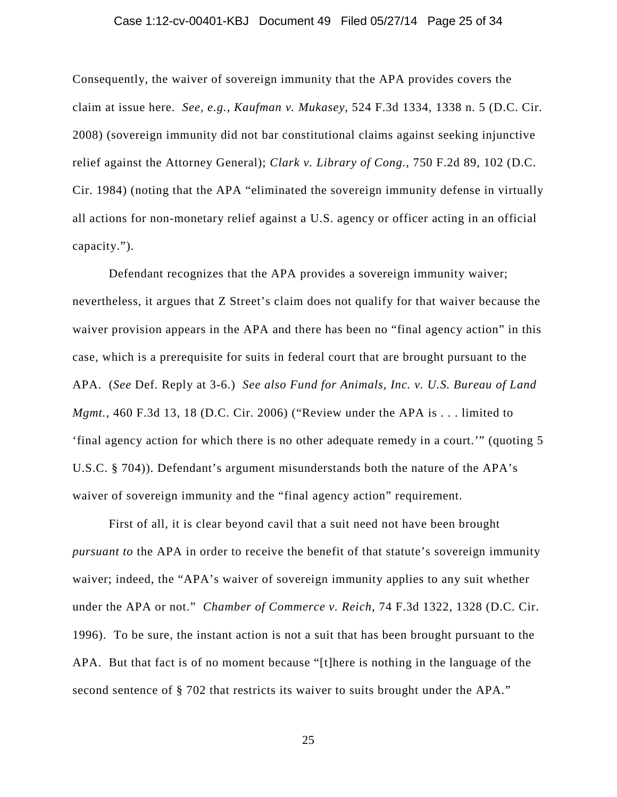### Case 1:12-cv-00401-KBJ Document 49 Filed 05/27/14 Page 25 of 34

Consequently, the waiver of sovereign immunity that the APA provides covers the claim at issue here. *See, e.g.*, *Kaufman v. Mukasey*, 524 F.3d 1334, 1338 n. 5 (D.C. Cir. 2008) (sovereign immunity did not bar constitutional claims against seeking injunctive relief against the Attorney General); *Clark v. Library of Cong.*, 750 F.2d 89, 102 (D.C. Cir. 1984) (noting that the APA "eliminated the sovereign immunity defense in virtually all actions for non-monetary relief against a U.S. agency or officer acting in an official capacity.").

Defendant recognizes that the APA provides a sovereign immunity waiver; nevertheless, it argues that Z Street's claim does not qualify for that waiver because the waiver provision appears in the APA and there has been no "final agency action" in this case, which is a prerequisite for suits in federal court that are brought pursuant to the APA. (*See* Def. Reply at 3-6.) *See also Fund for Animals, Inc. v. U.S. Bureau of Land Mgmt.*, 460 F.3d 13, 18 (D.C. Cir. 2006) ("Review under the APA is . . . limited to 'final agency action for which there is no other adequate remedy in a court.'" (quoting 5 U.S.C. § 704)). Defendant's argument misunderstands both the nature of the APA's waiver of sovereign immunity and the "final agency action" requirement.

First of all, it is clear beyond cavil that a suit need not have been brought *pursuant to* the APA in order to receive the benefit of that statute's sovereign immunity waiver; indeed, the "APA's waiver of sovereign immunity applies to any suit whether under the APA or not." *Chamber of Commerce v. Reich*, 74 F.3d 1322, 1328 (D.C. Cir. 1996). To be sure, the instant action is not a suit that has been brought pursuant to the APA. But that fact is of no moment because "[t]here is nothing in the language of the second sentence of § 702 that restricts its waiver to suits brought under the APA."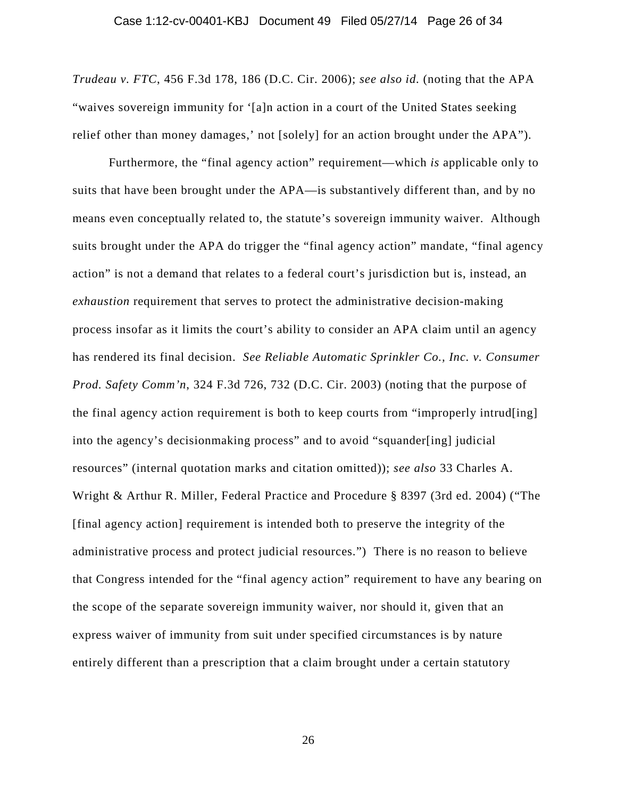*Trudeau v. FTC*, 456 F.3d 178, 186 (D.C. Cir. 2006); *see also id.* (noting that the APA "waives sovereign immunity for '[a]n action in a court of the United States seeking relief other than money damages,' not [solely] for an action brought under the APA").

Furthermore, the "final agency action" requirement—which *is* applicable only to suits that have been brought under the APA—is substantively different than, and by no means even conceptually related to, the statute's sovereign immunity waiver. Although suits brought under the APA do trigger the "final agency action" mandate, "final agency action" is not a demand that relates to a federal court's jurisdiction but is, instead, an *exhaustion* requirement that serves to protect the administrative decision-making process insofar as it limits the court's ability to consider an APA claim until an agency has rendered its final decision. *See Reliable Automatic Sprinkler Co., Inc. v. Consumer Prod. Safety Comm'n*, 324 F.3d 726, 732 (D.C. Cir. 2003) (noting that the purpose of the final agency action requirement is both to keep courts from "improperly intrud[ing] into the agency's decisionmaking process" and to avoid "squander[ing] judicial resources" (internal quotation marks and citation omitted)); *see also* 33 Charles A. Wright & Arthur R. Miller, Federal Practice and Procedure § 8397 (3rd ed. 2004) ("The [final agency action] requirement is intended both to preserve the integrity of the administrative process and protect judicial resources.") There is no reason to believe that Congress intended for the "final agency action" requirement to have any bearing on the scope of the separate sovereign immunity waiver, nor should it, given that an express waiver of immunity from suit under specified circumstances is by nature entirely different than a prescription that a claim brought under a certain statutory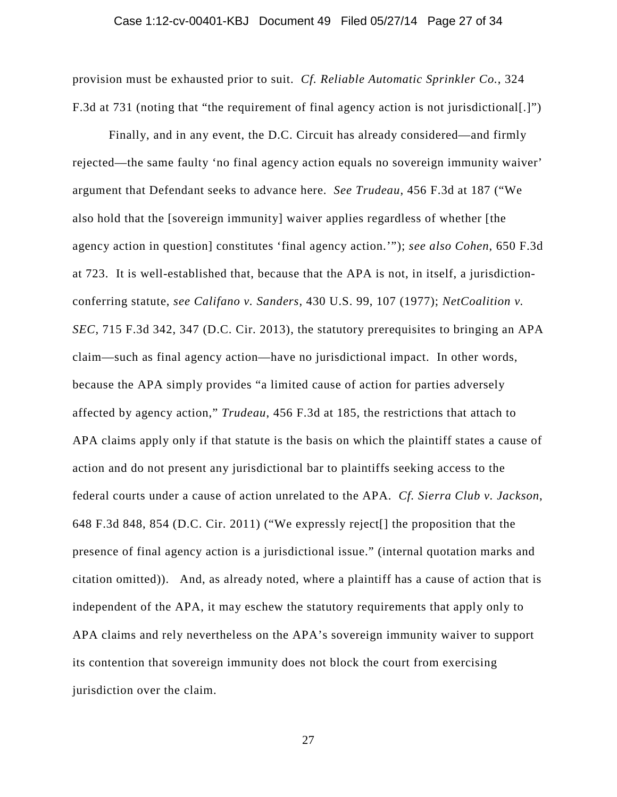### Case 1:12-cv-00401-KBJ Document 49 Filed 05/27/14 Page 27 of 34

provision must be exhausted prior to suit. *Cf. Reliable Automatic Sprinkler Co.*, 324 F.3d at 731 (noting that "the requirement of final agency action is not jurisdictional[.]")

Finally, and in any event, the D.C. Circuit has already considered—and firmly rejected—the same faulty 'no final agency action equals no sovereign immunity waiver' argument that Defendant seeks to advance here. *See Trudeau*, 456 F.3d at 187 ("We also hold that the [sovereign immunity] waiver applies regardless of whether [the agency action in question] constitutes 'final agency action.'"); *see also Cohen*, 650 F.3d at 723. It is well-established that, because that the APA is not, in itself, a jurisdictionconferring statute, *see Califano v. Sanders*, 430 U.S. 99, 107 (1977); *NetCoalition v. SEC*, 715 F.3d 342, 347 (D.C. Cir. 2013), the statutory prerequisites to bringing an APA claim—such as final agency action—have no jurisdictional impact. In other words, because the APA simply provides "a limited cause of action for parties adversely affected by agency action," *Trudeau*, 456 F.3d at 185, the restrictions that attach to APA claims apply only if that statute is the basis on which the plaintiff states a cause of action and do not present any jurisdictional bar to plaintiffs seeking access to the federal courts under a cause of action unrelated to the APA. *Cf. Sierra Club v. Jackson*, 648 F.3d 848, 854 (D.C. Cir. 2011) ("We expressly reject[] the proposition that the presence of final agency action is a jurisdictional issue." (internal quotation marks and citation omitted)). And, as already noted, where a plaintiff has a cause of action that is independent of the APA, it may eschew the statutory requirements that apply only to APA claims and rely nevertheless on the APA's sovereign immunity waiver to support its contention that sovereign immunity does not block the court from exercising jurisdiction over the claim.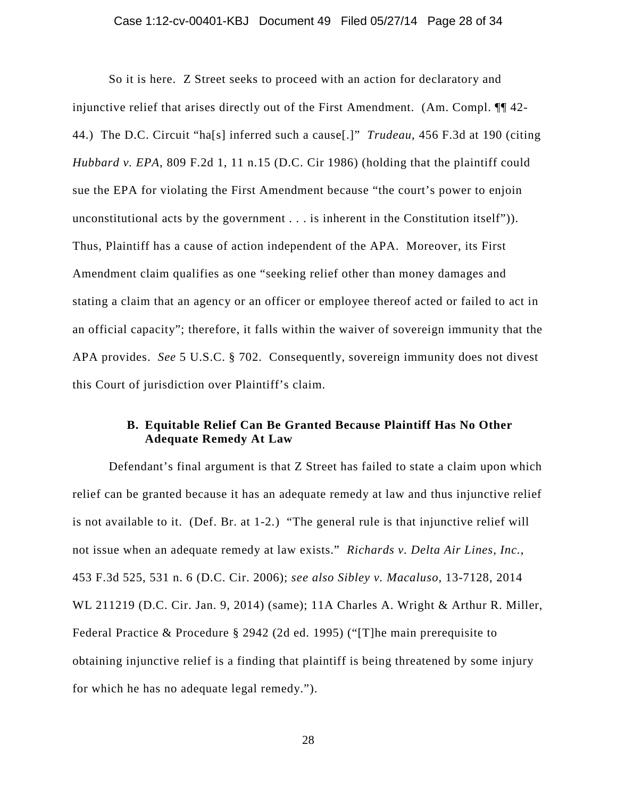### Case 1:12-cv-00401-KBJ Document 49 Filed 05/27/14 Page 28 of 34

So it is here. Z Street seeks to proceed with an action for declaratory and injunctive relief that arises directly out of the First Amendment. (Am. Compl. ¶¶ 42- 44.) The D.C. Circuit "ha[s] inferred such a cause[.]" *Trudeau*, 456 F.3d at 190 (citing *Hubbard v. EPA*, 809 F.2d 1, 11 n.15 (D.C. Cir 1986) (holding that the plaintiff could sue the EPA for violating the First Amendment because "the court's power to enjoin unconstitutional acts by the government . . . is inherent in the Constitution itself")). Thus, Plaintiff has a cause of action independent of the APA. Moreover, its First Amendment claim qualifies as one "seeking relief other than money damages and stating a claim that an agency or an officer or employee thereof acted or failed to act in an official capacity"; therefore, it falls within the waiver of sovereign immunity that the APA provides. *See* 5 U.S.C. § 702. Consequently, sovereign immunity does not divest this Court of jurisdiction over Plaintiff's claim.

## **B. Equitable Relief Can Be Granted Because Plaintiff Has No Other Adequate Remedy At Law**

Defendant's final argument is that Z Street has failed to state a claim upon which relief can be granted because it has an adequate remedy at law and thus injunctive relief is not available to it. (Def. Br. at 1-2.) "The general rule is that injunctive relief will not issue when an adequate remedy at law exists." *Richards v. Delta Air Lines, Inc.*, 453 F.3d 525, 531 n. 6 (D.C. Cir. 2006); *see also Sibley v. Macaluso*, 13-7128, 2014 WL 211219 (D.C. Cir. Jan. 9, 2014) (same); 11A Charles A. Wright & Arthur R. Miller, Federal Practice & Procedure § 2942 (2d ed. 1995) ("[T]he main prerequisite to obtaining injunctive relief is a finding that plaintiff is being threatened by some injury for which he has no adequate legal remedy.").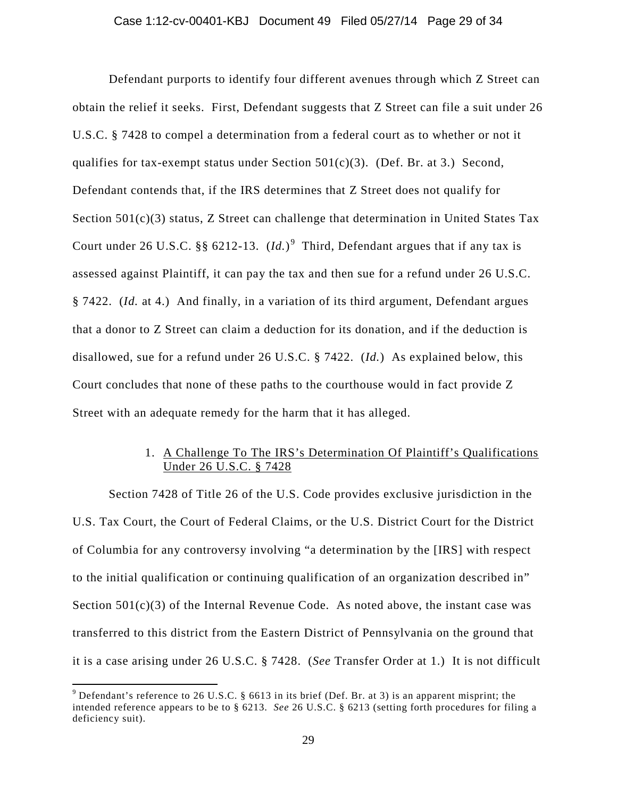Defendant purports to identify four different avenues through which Z Street can obtain the relief it seeks. First, Defendant suggests that Z Street can file a suit under 26 U.S.C. § 7428 to compel a determination from a federal court as to whether or not it qualifies for tax-exempt status under Section  $501(c)(3)$ . (Def. Br. at 3.) Second, Defendant contends that, if the IRS determines that Z Street does not qualify for Section 501(c)(3) status, Z Street can challenge that determination in United States Tax Court under 26 U.S.C.  $\S\S 6212-13$ .  $(Id.)^9$  Third, Defendant argues that if any tax is assessed against Plaintiff, it can pay the tax and then sue for a refund under 26 U.S.C. § 7422. (*Id.* at 4.) And finally, in a variation of its third argument, Defendant argues that a donor to Z Street can claim a deduction for its donation, and if the deduction is disallowed, sue for a refund under 26 U.S.C. § 7422. (*Id.*) As explained below, this Court concludes that none of these paths to the courthouse would in fact provide Z Street with an adequate remedy for the harm that it has alleged.

# 1. A Challenge To The IRS's Determination Of Plaintiff's Qualifications Under 26 U.S.C. § 7428

Section 7428 of Title 26 of the U.S. Code provides exclusive jurisdiction in the U.S. Tax Court, the Court of Federal Claims, or the U.S. District Court for the District of Columbia for any controversy involving "a determination by the [IRS] with respect to the initial qualification or continuing qualification of an organization described in" Section  $501(c)(3)$  of the Internal Revenue Code. As noted above, the instant case was transferred to this district from the Eastern District of Pennsylvania on the ground that it is a case arising under 26 U.S.C. § 7428. (*See* Transfer Order at 1.) It is not difficult

 $\overline{\phantom{a}}$ 

<sup>&</sup>lt;sup>9</sup> Defendant's reference to 26 U.S.C. § 6613 in its brief (Def. Br. at 3) is an apparent misprint; the intended reference appears to be to § 6213. *See* 26 U.S.C. § 6213 (setting forth procedures for filing a deficiency suit).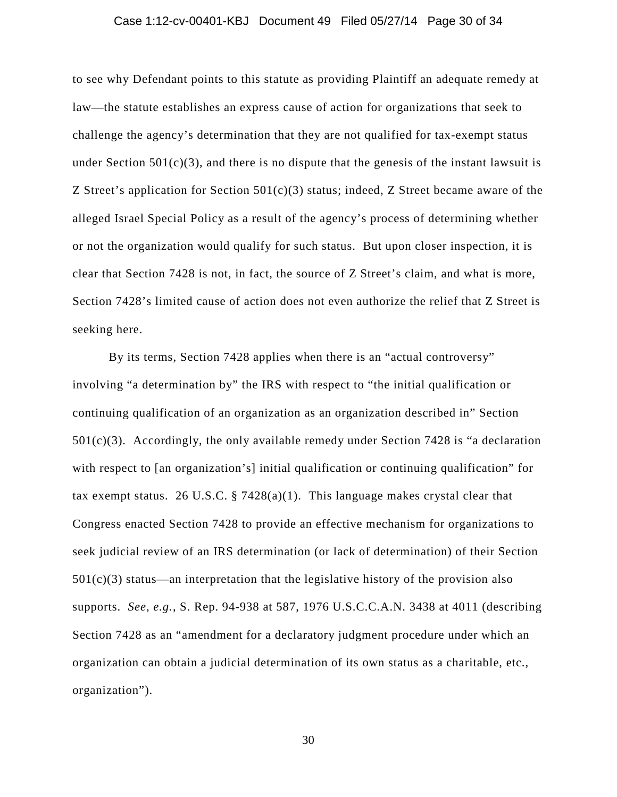### Case 1:12-cv-00401-KBJ Document 49 Filed 05/27/14 Page 30 of 34

to see why Defendant points to this statute as providing Plaintiff an adequate remedy at law—the statute establishes an express cause of action for organizations that seek to challenge the agency's determination that they are not qualified for tax-exempt status under Section  $501(c)(3)$ , and there is no dispute that the genesis of the instant lawsuit is Z Street's application for Section  $501(c)(3)$  status; indeed, Z Street became aware of the alleged Israel Special Policy as a result of the agency's process of determining whether or not the organization would qualify for such status. But upon closer inspection, it is clear that Section 7428 is not, in fact, the source of Z Street's claim, and what is more, Section 7428's limited cause of action does not even authorize the relief that Z Street is seeking here.

By its terms, Section 7428 applies when there is an "actual controversy" involving "a determination by" the IRS with respect to "the initial qualification or continuing qualification of an organization as an organization described in" Section  $501(c)(3)$ . Accordingly, the only available remedy under Section 7428 is "a declaration with respect to [an organization's] initial qualification or continuing qualification" for tax exempt status. 26 U.S.C. § 7428(a)(1). This language makes crystal clear that Congress enacted Section 7428 to provide an effective mechanism for organizations to seek judicial review of an IRS determination (or lack of determination) of their Section  $501(c)(3)$  status—an interpretation that the legislative history of the provision also supports. *See*, *e.g.*, S. Rep. 94-938 at 587, 1976 U.S.C.C.A.N. 3438 at 4011 (describing Section 7428 as an "amendment for a declaratory judgment procedure under which an organization can obtain a judicial determination of its own status as a charitable, etc., organization").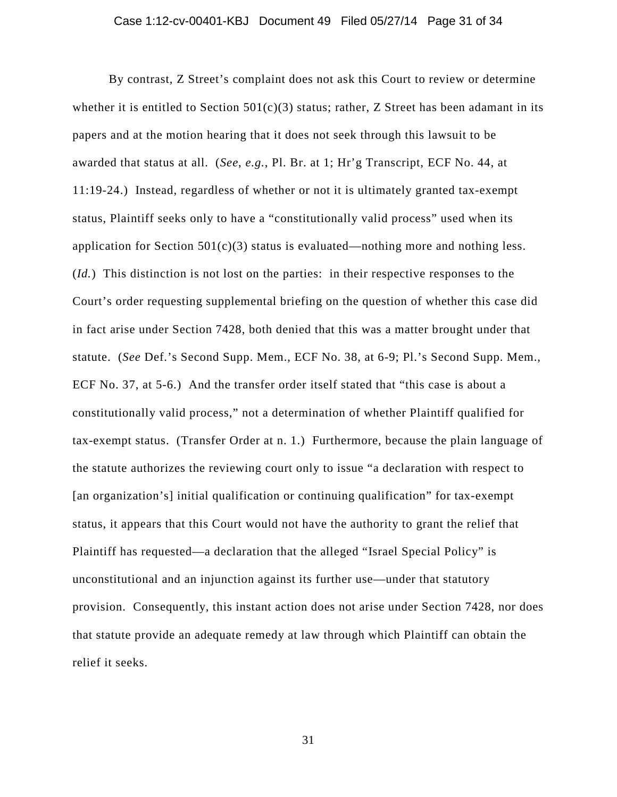By contrast, Z Street's complaint does not ask this Court to review or determine whether it is entitled to Section  $501(c)(3)$  status; rather, Z Street has been adamant in its papers and at the motion hearing that it does not seek through this lawsuit to be awarded that status at all. (*See*, *e.g.*, Pl. Br. at 1; Hr'g Transcript, ECF No. 44, at 11:19-24.) Instead, regardless of whether or not it is ultimately granted tax-exempt status, Plaintiff seeks only to have a "constitutionally valid process" used when its application for Section  $501(c)(3)$  status is evaluated—nothing more and nothing less. (*Id.*) This distinction is not lost on the parties: in their respective responses to the Court's order requesting supplemental briefing on the question of whether this case did in fact arise under Section 7428, both denied that this was a matter brought under that statute. (*See* Def.'s Second Supp. Mem., ECF No. 38, at 6-9; Pl.'s Second Supp. Mem., ECF No. 37, at 5-6.) And the transfer order itself stated that "this case is about a constitutionally valid process," not a determination of whether Plaintiff qualified for tax-exempt status. (Transfer Order at n. 1.) Furthermore, because the plain language of the statute authorizes the reviewing court only to issue "a declaration with respect to [an organization's] initial qualification or continuing qualification" for tax-exempt status, it appears that this Court would not have the authority to grant the relief that Plaintiff has requested—a declaration that the alleged "Israel Special Policy" is unconstitutional and an injunction against its further use—under that statutory provision. Consequently, this instant action does not arise under Section 7428, nor does that statute provide an adequate remedy at law through which Plaintiff can obtain the relief it seeks.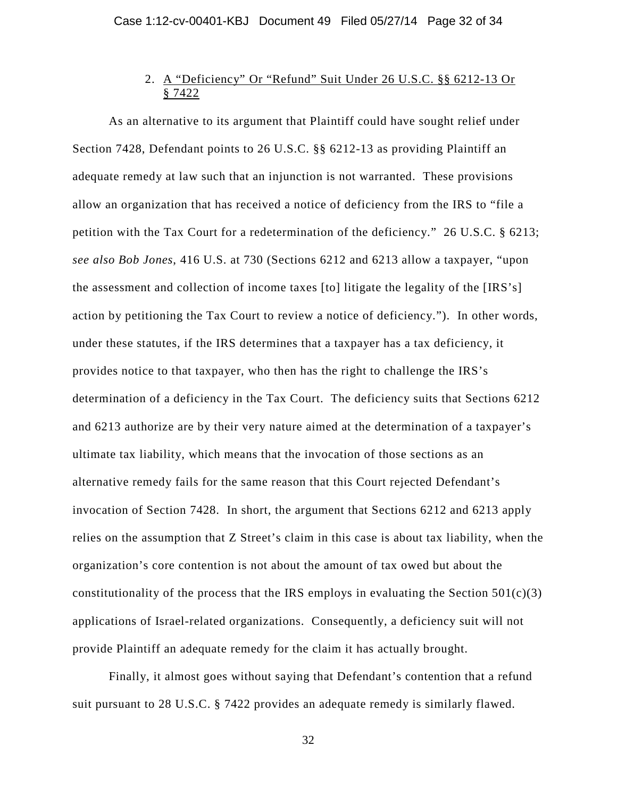# 2. A "Deficiency" Or "Refund" Suit Under 26 U.S.C. §§ 6212-13 Or § 7422

As an alternative to its argument that Plaintiff could have sought relief under Section 7428, Defendant points to 26 U.S.C. §§ 6212-13 as providing Plaintiff an adequate remedy at law such that an injunction is not warranted. These provisions allow an organization that has received a notice of deficiency from the IRS to "file a petition with the Tax Court for a redetermination of the deficiency." 26 U.S.C. § 6213; *see also Bob Jones*, 416 U.S. at 730 (Sections 6212 and 6213 allow a taxpayer, "upon the assessment and collection of income taxes [to] litigate the legality of the [IRS's] action by petitioning the Tax Court to review a notice of deficiency."). In other words, under these statutes, if the IRS determines that a taxpayer has a tax deficiency, it provides notice to that taxpayer, who then has the right to challenge the IRS's determination of a deficiency in the Tax Court. The deficiency suits that Sections 6212 and 6213 authorize are by their very nature aimed at the determination of a taxpayer's ultimate tax liability, which means that the invocation of those sections as an alternative remedy fails for the same reason that this Court rejected Defendant's invocation of Section 7428. In short, the argument that Sections 6212 and 6213 apply relies on the assumption that Z Street's claim in this case is about tax liability, when the organization's core contention is not about the amount of tax owed but about the constitutionality of the process that the IRS employs in evaluating the Section  $501(c)(3)$ applications of Israel-related organizations. Consequently, a deficiency suit will not provide Plaintiff an adequate remedy for the claim it has actually brought.

Finally, it almost goes without saying that Defendant's contention that a refund suit pursuant to 28 U.S.C. § 7422 provides an adequate remedy is similarly flawed.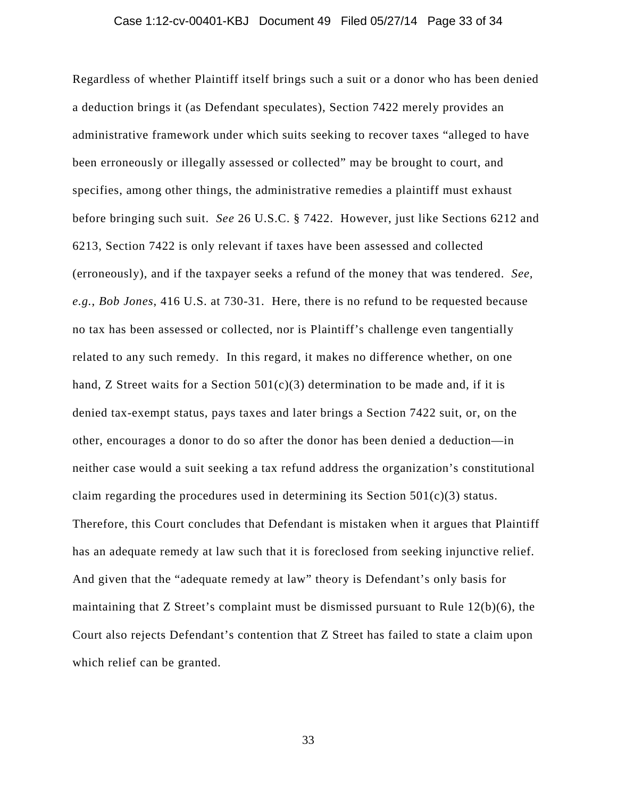# Case 1:12-cv-00401-KBJ Document 49 Filed 05/27/14 Page 33 of 34

Regardless of whether Plaintiff itself brings such a suit or a donor who has been denied a deduction brings it (as Defendant speculates), Section 7422 merely provides an administrative framework under which suits seeking to recover taxes "alleged to have been erroneously or illegally assessed or collected" may be brought to court, and specifies, among other things, the administrative remedies a plaintiff must exhaust before bringing such suit. *See* 26 U.S.C. § 7422. However, just like Sections 6212 and 6213, Section 7422 is only relevant if taxes have been assessed and collected (erroneously), and if the taxpayer seeks a refund of the money that was tendered. *See, e.g.*, *Bob Jones*, 416 U.S. at 730-31. Here, there is no refund to be requested because no tax has been assessed or collected, nor is Plaintiff's challenge even tangentially related to any such remedy. In this regard, it makes no difference whether, on one hand, Z Street waits for a Section  $501(c)(3)$  determination to be made and, if it is denied tax-exempt status, pays taxes and later brings a Section 7422 suit, or, on the other, encourages a donor to do so after the donor has been denied a deduction—in neither case would a suit seeking a tax refund address the organization's constitutional claim regarding the procedures used in determining its Section  $501(c)(3)$  status. Therefore, this Court concludes that Defendant is mistaken when it argues that Plaintiff has an adequate remedy at law such that it is foreclosed from seeking injunctive relief. And given that the "adequate remedy at law" theory is Defendant's only basis for maintaining that Z Street's complaint must be dismissed pursuant to Rule  $12(b)(6)$ , the Court also rejects Defendant's contention that Z Street has failed to state a claim upon which relief can be granted.